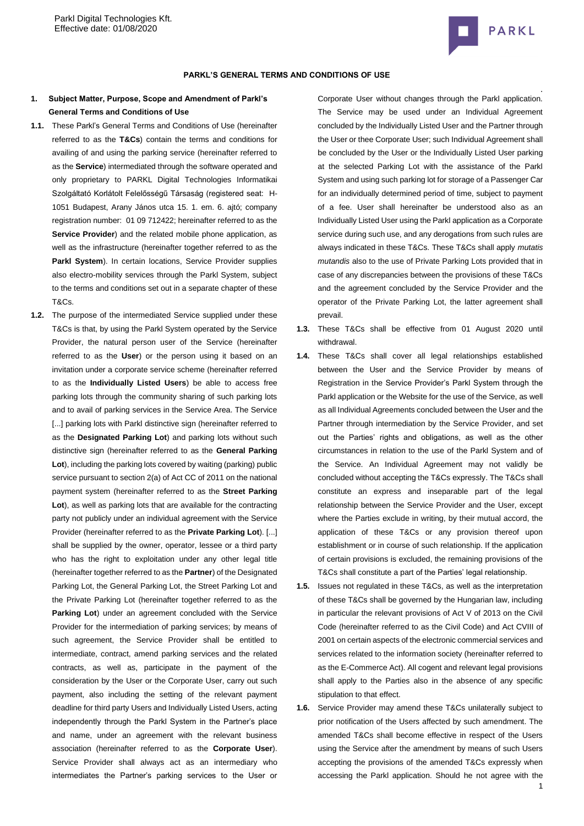

#### **PARKL'S GENERAL TERMS AND CONDITIONS OF USE**

## **1. Subject Matter, Purpose, Scope and Amendment of Parkl's General Terms and Conditions of Use**

- **1.1.** These Parkl's General Terms and Conditions of Use (hereinafter referred to as the **T&Cs**) contain the terms and conditions for availing of and using the parking service (hereinafter referred to as the **Service**) intermediated through the software operated and only proprietary to PARKL Digital Technologies Informatikai Szolgáltató Korlátolt Felelősségű Társaság (registered seat: [H-](http://maps.google.com/maps?q=HU%201051%20Budapest%20Arany%20J%C3%A1nos%20utca%2015.%201.%20em.%206&hl=hu&ie=UTF8)[1051 Budapest, Arany János utca 15. 1. em. 6.](http://maps.google.com/maps?q=HU%201051%20Budapest%20Arany%20J%C3%A1nos%20utca%2015.%201.%20em.%206&hl=hu&ie=UTF8) ajtó; company registration number: 01 09 712422; hereinafter referred to as the **Service Provider**) and the related mobile phone application, as well as the infrastructure (hereinafter together referred to as the Parkl System). In certain locations, Service Provider supplies also electro-mobility services through the Parkl System, subject to the terms and conditions set out in a separate chapter of these T&Cs.
- **1.2.** The purpose of the intermediated Service supplied under these T&Cs is that, by using the Parkl System operated by the Service Provider, the natural person user of the Service (hereinafter referred to as the **User**) or the person using it based on an invitation under a corporate service scheme (hereinafter referred to as the **Individually Listed Users**) be able to access free parking lots through the community sharing of such parking lots and to avail of parking services in the Service Area. The Service [...] parking lots with Parkl distinctive sign (hereinafter referred to as the **Designated Parking Lot**) and parking lots without such distinctive sign (hereinafter referred to as the **General Parking Lot**), including the parking lots covered by waiting (parking) public service pursuant to section 2(a) of Act CC of 2011 on the national payment system (hereinafter referred to as the **Street Parking Lot**), as well as parking lots that are available for the contracting party not publicly under an individual agreement with the Service Provider (hereinafter referred to as the **Private Parking Lot**). [...] shall be supplied by the owner, operator, lessee or a third party who has the right to exploitation under any other legal title (hereinafter together referred to as the **Partner**) of the Designated Parking Lot, the General Parking Lot, the Street Parking Lot and the Private Parking Lot (hereinafter together referred to as the **Parking Lot**) under an agreement concluded with the Service Provider for the intermediation of parking services; by means of such agreement, the Service Provider shall be entitled to intermediate, contract, amend parking services and the related contracts, as well as, participate in the payment of the consideration by the User or the Corporate User, carry out such payment, also including the setting of the relevant payment deadline for third party Users and Individually Listed Users, acting independently through the Parkl System in the Partner's place and name, under an agreement with the relevant business association (hereinafter referred to as the **Corporate User**). Service Provider shall always act as an intermediary who intermediates the Partner's parking services to the User or

Corporate User without changes through the Parkl application. The Service may be used under an Individual Agreement concluded by the Individually Listed User and the Partner through the User or thee Corporate User; such Individual Agreement shall be concluded by the User or the Individually Listed User parking at the selected Parking Lot with the assistance of the Parkl System and using such parking lot for storage of a Passenger Car for an individually determined period of time, subject to payment of a fee. User shall hereinafter be understood also as an Individually Listed User using the Parkl application as a Corporate service during such use, and any derogations from such rules are always indicated in these T&Cs. These T&Cs shall apply *mutatis mutandis* also to the use of Private Parking Lots provided that in case of any discrepancies between the provisions of these T&Cs and the agreement concluded by the Service Provider and the operator of the Private Parking Lot, the latter agreement shall prevail.

- **1.3.** These T&Cs shall be effective from 01 August 2020 until withdrawal.
- **1.4.** These T&Cs shall cover all legal relationships established between the User and the Service Provider by means of Registration in the Service Provider's Parkl System through the Parkl application or the Website for the use of the Service, as well as all Individual Agreements concluded between the User and the Partner through intermediation by the Service Provider, and set out the Parties' rights and obligations, as well as the other circumstances in relation to the use of the Parkl System and of the Service. An Individual Agreement may not validly be concluded without accepting the T&Cs expressly. The T&Cs shall constitute an express and inseparable part of the legal relationship between the Service Provider and the User, except where the Parties exclude in writing, by their mutual accord, the application of these T&Cs or any provision thereof upon establishment or in course of such relationship. If the application of certain provisions is excluded, the remaining provisions of the T&Cs shall constitute a part of the Parties' legal relationship.
- **1.5.** Issues not regulated in these T&Cs, as well as the interpretation of these T&Cs shall be governed by the Hungarian law, including in particular the relevant provisions of Act V of 2013 on the Civil Code (hereinafter referred to as the Civil Code) and Act CVIII of 2001 on certain aspects of the electronic commercial services and services related to the information society (hereinafter referred to as the E-Commerce Act). All cogent and relevant legal provisions shall apply to the Parties also in the absence of any specific stipulation to that effect.
- **1.6.** Service Provider may amend these T&Cs unilaterally subject to prior notification of the Users affected by such amendment. The amended T&Cs shall become effective in respect of the Users using the Service after the amendment by means of such Users accepting the provisions of the amended T&Cs expressly when accessing the Parkl application. Should he not agree with the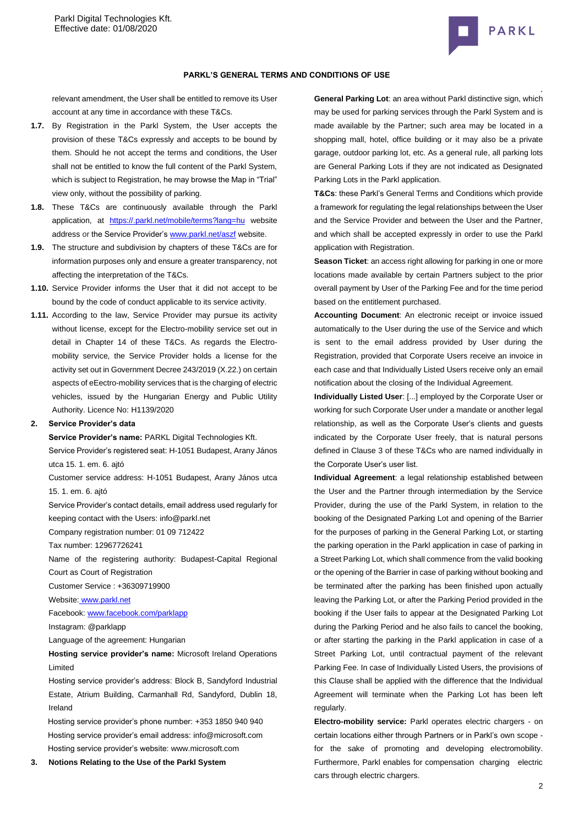

#### **PARKL'S GENERAL TERMS AND CONDITIONS OF USE**

relevant amendment, the User shall be entitled to remove its User account at any time in accordance with these T&Cs.

- **1.7.** By Registration in the Parkl System, the User accepts the provision of these T&Cs expressly and accepts to be bound by them. Should he not accept the terms and conditions, the User shall not be entitled to know the full content of the Parkl System, which is subject to Registration, he may browse the Map in "Trial" view only, without the possibility of parking.
- **1.8.** These T&Cs are continuously available through the Parkl application, at [https://.parkl.net/mobile/terms?lang=hu](https://parkl.net/mobile/terms?lang=hu) website address or the Service Provider'[s www.parkl.net/aszf](http://www.parkl.net/aszf) website.
- **1.9.** The structure and subdivision by chapters of these T&Cs are for information purposes only and ensure a greater transparency, not affecting the interpretation of the T&Cs.
- **1.10.** Service Provider informs the User that it did not accept to be bound by the code of conduct applicable to its service activity.
- **1.11.** According to the law, Service Provider may pursue its activity without license, except for the Electro-mobility service set out in detail in Chapter 14 of these T&Cs. As regards the Electromobility service, the Service Provider holds a license for the activity set out in Government Decree 243/2019 (X.22.) on certain aspects of eEectro-mobility services that is the charging of electric vehicles, issued by the Hungarian Energy and Public Utility Authority. Licence No: H1139/2020

## **2. Service Provider's data**

**Service Provider's name:** PARKL Digital Technologies Kft.

Service Provider's registered seat[: H-1051 Budapest, Arany János](http://maps.google.com/maps?q=HU%201051%20Budapest%20Arany%20J%C3%A1nos%20utca%2015.%201.%20em.%206&hl=hu&ie=UTF8)  [utca 15. 1. em. 6.](http://maps.google.com/maps?q=HU%201051%20Budapest%20Arany%20J%C3%A1nos%20utca%2015.%201.%20em.%206&hl=hu&ie=UTF8) ajtó

Customer service address: [H-1051 Budapest, Arany János utca](http://maps.google.com/maps?q=HU%201051%20Budapest%20Arany%20J%C3%A1nos%20utca%2015.%201.%20em.%206&hl=hu&ie=UTF8)  [15. 1. em. 6.](http://maps.google.com/maps?q=HU%201051%20Budapest%20Arany%20J%C3%A1nos%20utca%2015.%201.%20em.%206&hl=hu&ie=UTF8) ajtó

Service Provider's contact details, email address used regularly for keeping contact with the Users: info@parkl.net

Company registration number: 01 09 712422

Tax number: 12967726241

Name of the registering authority: Budapest-Capital Regional Court as Court of Registration

Customer Service : +36309719900

Website: [www.parkl.net](http://www.parkl.net/)

Facebook: [www.facebook.com/parklapp](http://www.facebook.com/parklapp)

Instagram: @parklapp

Language of the agreement: Hungarian

**Hosting service provider's name:** Microsoft Ireland Operations Limited

Hosting service provider's address: Block B, Sandyford Industrial Estate, Atrium Building, Carmanhall Rd, Sandyford, Dublin 18, Ireland

Hosting service provider's phone number[: +353 1850 940](tel:+353%201850%20940%20940) 940 Hosting service provider's email address: [info@microsoft.com](mailto:info@microsoft.com) Hosting service provider's website[: www.microsoft.com](http://www.microsoft.com/)

**3. Notions Relating to the Use of the Parkl System**

**General Parking Lot**: an area without Parkl distinctive sign, which may be used for parking services through the Parkl System and is made available by the Partner; such area may be located in a shopping mall, hotel, office building or it may also be a private garage, outdoor parking lot, etc. As a general rule, all parking lots are General Parking Lots if they are not indicated as Designated Parking Lots in the Parkl application.

**T&Cs**: these Parkl's General Terms and Conditions which provide a framework for regulating the legal relationships between the User and the Service Provider and between the User and the Partner, and which shall be accepted expressly in order to use the Parkl application with Registration.

**Season Ticket**: an access right allowing for parking in one or more locations made available by certain Partners subject to the prior overall payment by User of the Parking Fee and for the time period based on the entitlement purchased.

**Accounting Document**: An electronic receipt or invoice issued automatically to the User during the use of the Service and which is sent to the email address provided by User during the Registration, provided that Corporate Users receive an invoice in each case and that Individually Listed Users receive only an email notification about the closing of the Individual Agreement.

**Individually Listed User**: [...] employed by the Corporate User or working for such Corporate User under a mandate or another legal relationship, as well as the Corporate User's clients and guests indicated by the Corporate User freely, that is natural persons defined in Clause 3 of these T&Cs who are named individually in the Corporate User's user list.

**Individual Agreement**: a legal relationship established between the User and the Partner through intermediation by the Service Provider, during the use of the Parkl System, in relation to the booking of the Designated Parking Lot and opening of the Barrier for the purposes of parking in the General Parking Lot, or starting the parking operation in the Parkl application in case of parking in a Street Parking Lot, which shall commence from the valid booking or the opening of the Barrier in case of parking without booking and be terminated after the parking has been finished upon actually leaving the Parking Lot, or after the Parking Period provided in the booking if the User fails to appear at the Designated Parking Lot during the Parking Period and he also fails to cancel the booking, or after starting the parking in the Parkl application in case of a Street Parking Lot, until contractual payment of the relevant Parking Fee. In case of Individually Listed Users, the provisions of this Clause shall be applied with the difference that the Individual Agreement will terminate when the Parking Lot has been left regularly.

**Electro-mobility service:** Parkl operates electric chargers - on certain locations either through Partners or in Parkl's own scope for the sake of promoting and developing electromobility. Furthermore, Parkl enables for compensation charging electric cars through electric chargers.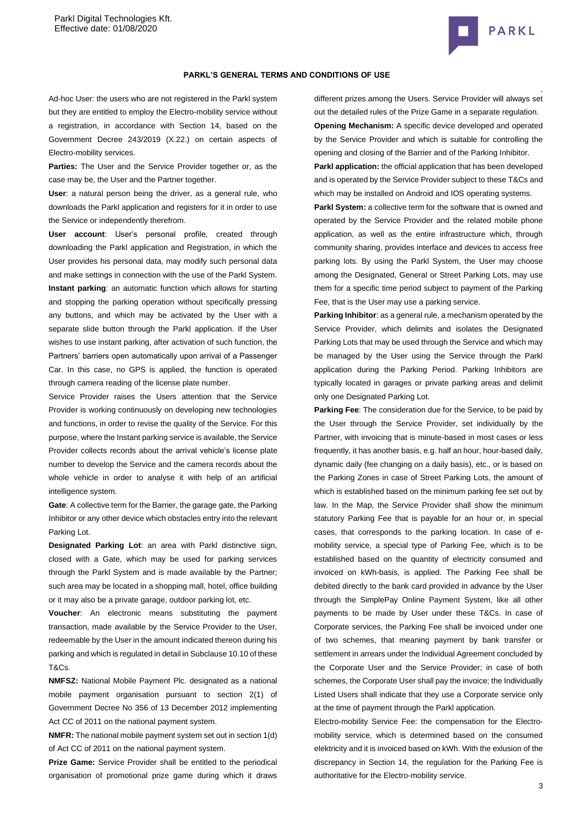

#### **PARKL'S GENERAL TERMS AND CONDITIONS OF USE**

Ad-hoc User: the users who are not registered in the Parkl system but they are entitled to employ the Electro-mobility service without a registration, in accordance with Section 14, based on the Government Decree 243/2019 (X.22.) on certain aspects of Electro-mobility services.

**Parties:** The User and the Service Provider together or, as the case may be, the User and the Partner together.

**User**: a natural person being the driver, as a general rule, who downloads the Parkl application and registers for it in order to use the Service or independently therefrom.

**User account**: User's personal profile, created through downloading the Parkl application and Registration, in which the User provides his personal data, may modify such personal data and make settings in connection with the use of the Parkl System. **Instant parking**: an automatic function which allows for starting and stopping the parking operation without specifically pressing any buttons, and which may be activated by the User with a separate slide button through the Parkl application. If the User wishes to use instant parking, after activation of such function, the Partners' barriers open automatically upon arrival of a Passenger Car. In this case, no GPS is applied, the function is operated through camera reading of the license plate number.

Service Provider raises the Users attention that the Service Provider is working continuously on developing new technologies and functions, in order to revise the quality of the Service. For this purpose, where the Instant parking service is available, the Service Provider collects records about the arrival vehicle's license plate number to develop the Service and the camera records about the whole vehicle in order to analyse it with help of an artificial intelligence system.

**Gate**: A collective term for the Barrier, the garage gate, the Parking Inhibitor or any other device which obstacles entry into the relevant Parking Lot.

**Designated Parking Lot**: an area with Parkl distinctive sign, closed with a Gate, which may be used for parking services through the Parkl System and is made available by the Partner; such area may be located in a shopping mall, hotel, office building or it may also be a private garage, outdoor parking lot, etc.

**Voucher**: An electronic means substituting the payment transaction, made available by the Service Provider to the User, redeemable by the User in the amount indicated thereon during his parking and which is regulated in detail in Subclause 10.10 of these T&Cs.

**NMFSZ:** National Mobile Payment Plc. designated as a national mobile payment organisation pursuant to section 2(1) of Government Decree No 356 of 13 December 2012 implementing Act CC of 2011 on the national payment system.

**NMFR:** The national mobile payment system set out in section 1(d) of Act CC of 2011 on the national payment system.

**Prize Game:** Service Provider shall be entitled to the periodical organisation of promotional prize game during which it draws different prizes among the Users. Service Provider will always set out the detailed rules of the Prize Game in a separate regulation. **Opening Mechanism:** A specific device developed and operated by the Service Provider and which is suitable for controlling the opening and closing of the Barrier and of the Parking Inhibitor.

**Parkl application:** the official application that has been developed and is operated by the Service Provider subject to these T&Cs and which may be installed on Android and IOS operating systems.

Parkl System: a collective term for the software that is owned and operated by the Service Provider and the related mobile phone application, as well as the entire infrastructure which, through community sharing, provides interface and devices to access free parking lots. By using the Parkl System, the User may choose among the Designated, General or Street Parking Lots, may use them for a specific time period subject to payment of the Parking Fee, that is the User may use a parking service.

**Parking Inhibitor**: as a general rule, a mechanism operated by the Service Provider, which delimits and isolates the Designated Parking Lots that may be used through the Service and which may be managed by the User using the Service through the Parkl application during the Parking Period. Parking Inhibitors are typically located in garages or private parking areas and delimit only one Designated Parking Lot.

**Parking Fee**: The consideration due for the Service, to be paid by the User through the Service Provider, set individually by the Partner, with invoicing that is minute-based in most cases or less frequently, it has another basis, e.g. half an hour, hour-based daily, dynamic daily (fee changing on a daily basis), etc., or is based on the Parking Zones in case of Street Parking Lots, the amount of which is established based on the minimum parking fee set out by law. In the Map, the Service Provider shall show the minimum statutory Parking Fee that is payable for an hour or, in special cases, that corresponds to the parking location. In case of emobility service, a special type of Parking Fee, which is to be established based on the quantity of electricity consumed and invoiced on kWh-basis, is applied. The Parking Fee shall be debited directly to the bank card provided in advance by the User through the SimplePay Online Payment System, like all other payments to be made by User under these T&Cs. In case of Corporate services, the Parking Fee shall be invoiced under one of two schemes, that meaning payment by bank transfer or settlement in arrears under the Individual Agreement concluded by the Corporate User and the Service Provider; in case of both schemes, the Corporate User shall pay the invoice; the Individually Listed Users shall indicate that they use a Corporate service only at the time of payment through the Parkl application.

Electro-mobility Service Fee: the compensation for the Electromobility service, which is determined based on the consumed elektricity and it is invoiced based on kWh. With the exlusion of the discrepancy in Section 14, the regulation for the Parking Fee is authoritative for the Electro-mobility service.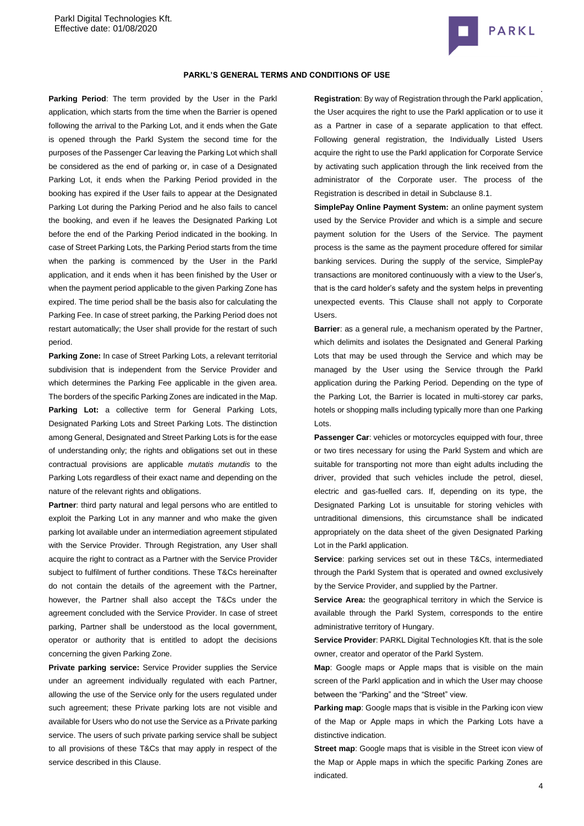

### **PARKL'S GENERAL TERMS AND CONDITIONS OF USE**

**Parking Period**: The term provided by the User in the Parkl application, which starts from the time when the Barrier is opened following the arrival to the Parking Lot, and it ends when the Gate is opened through the Parkl System the second time for the purposes of the Passenger Car leaving the Parking Lot which shall be considered as the end of parking or, in case of a Designated Parking Lot, it ends when the Parking Period provided in the booking has expired if the User fails to appear at the Designated Parking Lot during the Parking Period and he also fails to cancel the booking, and even if he leaves the Designated Parking Lot before the end of the Parking Period indicated in the booking. In case of Street Parking Lots, the Parking Period starts from the time when the parking is commenced by the User in the Parkl application, and it ends when it has been finished by the User or when the payment period applicable to the given Parking Zone has expired. The time period shall be the basis also for calculating the Parking Fee. In case of street parking, the Parking Period does not restart automatically; the User shall provide for the restart of such period.

**Parking Zone:** In case of Street Parking Lots, a relevant territorial subdivision that is independent from the Service Provider and which determines the Parking Fee applicable in the given area. The borders of the specific Parking Zones are indicated in the Map. Parking Lot: a collective term for General Parking Lots, Designated Parking Lots and Street Parking Lots. The distinction among General, Designated and Street Parking Lots is for the ease of understanding only; the rights and obligations set out in these contractual provisions are applicable *mutatis mutandis* to the Parking Lots regardless of their exact name and depending on the nature of the relevant rights and obligations.

Partner: third party natural and legal persons who are entitled to exploit the Parking Lot in any manner and who make the given parking lot available under an intermediation agreement stipulated with the Service Provider. Through Registration, any User shall acquire the right to contract as a Partner with the Service Provider subject to fulfilment of further conditions. These T&Cs hereinafter do not contain the details of the agreement with the Partner, however, the Partner shall also accept the T&Cs under the agreement concluded with the Service Provider. In case of street parking, Partner shall be understood as the local government, operator or authority that is entitled to adopt the decisions concerning the given Parking Zone.

**Private parking service:** Service Provider supplies the Service under an agreement individually regulated with each Partner, allowing the use of the Service only for the users regulated under such agreement; these Private parking lots are not visible and available for Users who do not use the Service as a Private parking service. The users of such private parking service shall be subject to all provisions of these T&Cs that may apply in respect of the service described in this Clause.

**Registration**: By way of Registration through the Parkl application, the User acquires the right to use the Parkl application or to use it as a Partner in case of a separate application to that effect. Following general registration, the Individually Listed Users acquire the right to use the Parkl application for Corporate Service by activating such application through the link received from the administrator of the Corporate user. The process of the Registration is described in detail in Subclause [8.1.](#page-6-0)

**SimplePay Online Payment System:** an online payment system used by the Service Provider and which is a simple and secure payment solution for the Users of the Service. The payment process is the same as the payment procedure offered for similar banking services. During the supply of the service, SimplePay transactions are monitored continuously with a view to the User's, that is the card holder's safety and the system helps in preventing unexpected events. This Clause shall not apply to Corporate Users.

**Barrier**: as a general rule, a mechanism operated by the Partner, which delimits and isolates the Designated and General Parking Lots that may be used through the Service and which may be managed by the User using the Service through the Parkl application during the Parking Period. Depending on the type of the Parking Lot, the Barrier is located in multi-storey car parks, hotels or shopping malls including typically more than one Parking Lots.

**Passenger Car**: vehicles or motorcycles equipped with four, three or two tires necessary for using the Parkl System and which are suitable for transporting not more than eight adults including the driver, provided that such vehicles include the petrol, diesel, electric and gas-fuelled cars. If, depending on its type, the Designated Parking Lot is unsuitable for storing vehicles with untraditional dimensions, this circumstance shall be indicated appropriately on the data sheet of the given Designated Parking Lot in the Parkl application.

**Service**: parking services set out in these T&Cs, intermediated through the Parkl System that is operated and owned exclusively by the Service Provider, and supplied by the Partner.

**Service Area:** the geographical territory in which the Service is available through the Parkl System, corresponds to the entire administrative territory of Hungary.

**Service Provider: PARKL Digital Technologies Kft. that is the sole** owner, creator and operator of the Parkl System.

**Map**: Google maps or Apple maps that is visible on the main screen of the Parkl application and in which the User may choose between the "Parking" and the "Street" view.

**Parking map:** Google maps that is visible in the Parking icon view of the Map or Apple maps in which the Parking Lots have a distinctive indication.

**Street map:** Google maps that is visible in the Street icon view of the Map or Apple maps in which the specific Parking Zones are indicated.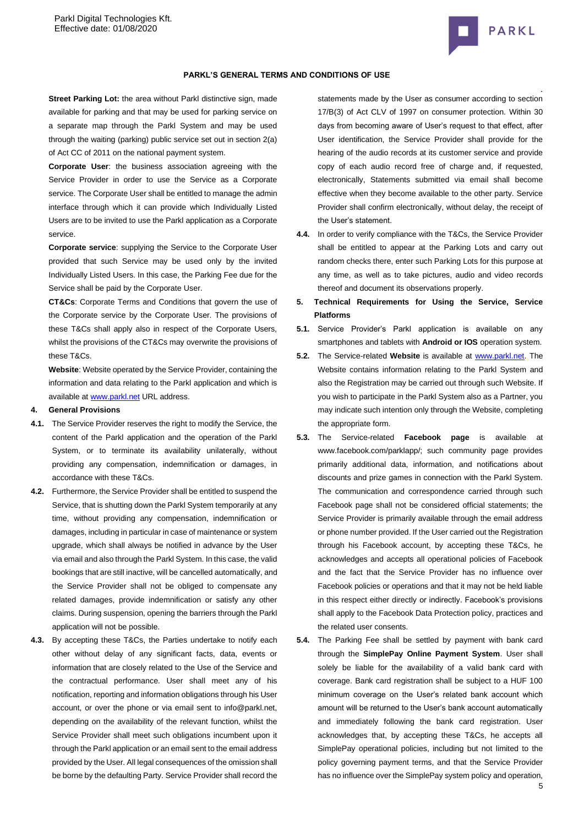

**Street Parking Lot:** the area without Parkl distinctive sign, made available for parking and that may be used for parking service on a separate map through the Parkl System and may be used through the waiting (parking) public service set out in section 2(a) of Act CC of 2011 on the national payment system.

**Corporate User**: the business association agreeing with the Service Provider in order to use the Service as a Corporate service. The Corporate User shall be entitled to manage the admin interface through which it can provide which Individually Listed Users are to be invited to use the Parkl application as a Corporate service.

**Corporate service**: supplying the Service to the Corporate User provided that such Service may be used only by the invited Individually Listed Users. In this case, the Parking Fee due for the Service shall be paid by the Corporate User.

**CT&Cs**: Corporate Terms and Conditions that govern the use of the Corporate service by the Corporate User. The provisions of these T&Cs shall apply also in respect of the Corporate Users, whilst the provisions of the CT&Cs may overwrite the provisions of these T&Cs.

**Website**: Website operated by the Service Provider, containing the information and data relating to the Parkl application and which is available a[t www.parkl.net](http://www.parkl.net/) URL address.

#### **4. General Provisions**

- **4.1.** The Service Provider reserves the right to modify the Service, the content of the Parkl application and the operation of the Parkl System, or to terminate its availability unilaterally, without providing any compensation, indemnification or damages, in accordance with these T&Cs.
- **4.2.** Furthermore, the Service Provider shall be entitled to suspend the Service, that is shutting down the Parkl System temporarily at any time, without providing any compensation, indemnification or damages, including in particular in case of maintenance or system upgrade, which shall always be notified in advance by the User via email and also through the Parkl System. In this case, the valid bookings that are still inactive, will be cancelled automatically, and the Service Provider shall not be obliged to compensate any related damages, provide indemnification or satisfy any other claims. During suspension, opening the barriers through the Parkl application will not be possible.
- **4.3.** By accepting these T&Cs, the Parties undertake to notify each other without delay of any significant facts, data, events or information that are closely related to the Use of the Service and the contractual performance. User shall meet any of his notification, reporting and information obligations through his User account, or over the phone or via email sent to info@parkl.net, depending on the availability of the relevant function, whilst the Service Provider shall meet such obligations incumbent upon it through the Parkl application or an email sent to the email address provided by the User. All legal consequences of the omission shall be borne by the defaulting Party. Service Provider shall record the

. statements made by the User as consumer according to section 17/B(3) of Act CLV of 1997 on consumer protection. Within 30 days from becoming aware of User's request to that effect, after User identification, the Service Provider shall provide for the hearing of the audio records at its customer service and provide copy of each audio record free of charge and, if requested, electronically, Statements submitted via email shall become effective when they become available to the other party. Service Provider shall confirm electronically, without delay, the receipt of the User's statement.

- **4.4.** In order to verify compliance with the T&Cs, the Service Provider shall be entitled to appear at the Parking Lots and carry out random checks there, enter such Parking Lots for this purpose at any time, as well as to take pictures, audio and video records thereof and document its observations properly.
- **5. Technical Requirements for Using the Service, Service Platforms**
- **5.1.** Service Provider's Parkl application is available on any smartphones and tablets with **Android or IOS** operation system.
- **5.2.** The Service-related **Website** is available at [www.parkl.net.](http://www.parkl.net/) The Website contains information relating to the Parkl System and also the Registration may be carried out through such Website. If you wish to participate in the Parkl System also as a Partner, you may indicate such intention only through the Website, completing the appropriate form.
- **5.3.** The Service-related **Facebook page** is available at www.facebook.com/parklapp/; such community page provides primarily additional data, information, and notifications about discounts and prize games in connection with the Parkl System. The communication and correspondence carried through such Facebook page shall not be considered official statements; the Service Provider is primarily available through the email address or phone number provided. If the User carried out the Registration through his Facebook account, by accepting these T&Cs, he acknowledges and accepts all operational policies of Facebook and the fact that the Service Provider has no influence over Facebook policies or operations and that it may not be held liable in this respect either directly or indirectly. Facebook's provisions shall apply to the Facebook Data Protection policy, practices and the related user consents.
- **5.4.** The Parking Fee shall be settled by payment with bank card through the **SimplePay Online Payment System**. User shall solely be liable for the availability of a valid bank card with coverage. Bank card registration shall be subject to a HUF 100 minimum coverage on the User's related bank account which amount will be returned to the User's bank account automatically and immediately following the bank card registration. User acknowledges that, by accepting these T&Cs, he accepts all SimplePay operational policies, including but not limited to the policy governing payment terms, and that the Service Provider has no influence over the SimplePay system policy and operation,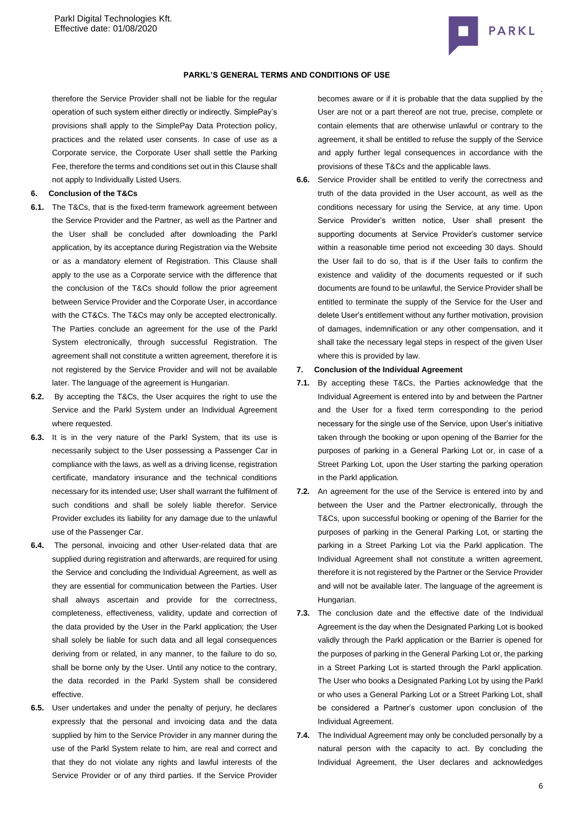

#### **PARKL'S GENERAL TERMS AND CONDITIONS OF USE**

therefore the Service Provider shall not be liable for the regular operation of such system either directly or indirectly. SimplePay's provisions shall apply to the SimplePay Data Protection policy, practices and the related user consents. In case of use as a Corporate service, the Corporate User shall settle the Parking Fee, therefore the terms and conditions set out in this Clause shall not apply to Individually Listed Users.

### **6. Conclusion of the T&Cs**

- **6.1.** The T&Cs, that is the fixed-term framework agreement between the Service Provider and the Partner, as well as the Partner and the User shall be concluded after downloading the Parkl application, by its acceptance during Registration via the Website or as a mandatory element of Registration. This Clause shall apply to the use as a Corporate service with the difference that the conclusion of the T&Cs should follow the prior agreement between Service Provider and the Corporate User, in accordance with the CT&Cs. The T&Cs may only be accepted electronically. The Parties conclude an agreement for the use of the Parkl System electronically, through successful Registration. The agreement shall not constitute a written agreement, therefore it is not registered by the Service Provider and will not be available later. The language of the agreement is Hungarian.
- **6.2.** By accepting the T&Cs, the User acquires the right to use the Service and the Parkl System under an Individual Agreement where requested.
- **6.3.** It is in the very nature of the Parkl System, that its use is necessarily subject to the User possessing a Passenger Car in compliance with the laws, as well as a driving license, registration certificate, mandatory insurance and the technical conditions necessary for its intended use; User shall warrant the fulfilment of such conditions and shall be solely liable therefor. Service Provider excludes its liability for any damage due to the unlawful use of the Passenger Car.
- **6.4.** The personal, invoicing and other User-related data that are supplied during registration and afterwards, are required for using the Service and concluding the Individual Agreement, as well as they are essential for communication between the Parties. User shall always ascertain and provide for the correctness, completeness, effectiveness, validity, update and correction of the data provided by the User in the Parkl application; the User shall solely be liable for such data and all legal consequences deriving from or related, in any manner, to the failure to do so, shall be borne only by the User. Until any notice to the contrary, the data recorded in the Parkl System shall be considered effective.
- **6.5.** User undertakes and under the penalty of perjury, he declares expressly that the personal and invoicing data and the data supplied by him to the Service Provider in any manner during the use of the Parkl System relate to him, are real and correct and that they do not violate any rights and lawful interests of the Service Provider or of any third parties. If the Service Provider

becomes aware or if it is probable that the data supplied by the User are not or a part thereof are not true, precise, complete or contain elements that are otherwise unlawful or contrary to the agreement, it shall be entitled to refuse the supply of the Service and apply further legal consequences in accordance with the provisions of these T&Cs and the applicable laws.

**6.6.** Service Provider shall be entitled to verify the correctness and truth of the data provided in the User account, as well as the conditions necessary for using the Service, at any time. Upon Service Provider's written notice, User shall present the supporting documents at Service Provider's customer service within a reasonable time period not exceeding 30 days. Should the User fail to do so, that is if the User fails to confirm the existence and validity of the documents requested or if such documents are found to be unlawful, the Service Provider shall be entitled to terminate the supply of the Service for the User and delete User's entitlement without any further motivation, provision of damages, indemnification or any other compensation, and it shall take the necessary legal steps in respect of the given User where this is provided by law.

#### **7. Conclusion of the Individual Agreement**

- **7.1.** By accepting these T&Cs, the Parties acknowledge that the Individual Agreement is entered into by and between the Partner and the User for a fixed term corresponding to the period necessary for the single use of the Service, upon User's initiative taken through the booking or upon opening of the Barrier for the purposes of parking in a General Parking Lot or, in case of a Street Parking Lot, upon the User starting the parking operation in the Parkl application.
- **7.2.** An agreement for the use of the Service is entered into by and between the User and the Partner electronically, through the T&Cs, upon successful booking or opening of the Barrier for the purposes of parking in the General Parking Lot, or starting the parking in a Street Parking Lot via the Parkl application. The Individual Agreement shall not constitute a written agreement, therefore it is not registered by the Partner or the Service Provider and will not be available later. The language of the agreement is Hungarian.
- **7.3.** The conclusion date and the effective date of the Individual Agreement is the day when the Designated Parking Lot is booked validly through the Parkl application or the Barrier is opened for the purposes of parking in the General Parking Lot or, the parking in a Street Parking Lot is started through the Parkl application. The User who books a Designated Parking Lot by using the Parkl or who uses a General Parking Lot or a Street Parking Lot, shall be considered a Partner's customer upon conclusion of the Individual Agreement.
- **7.4.** The Individual Agreement may only be concluded personally by a natural person with the capacity to act. By concluding the Individual Agreement, the User declares and acknowledges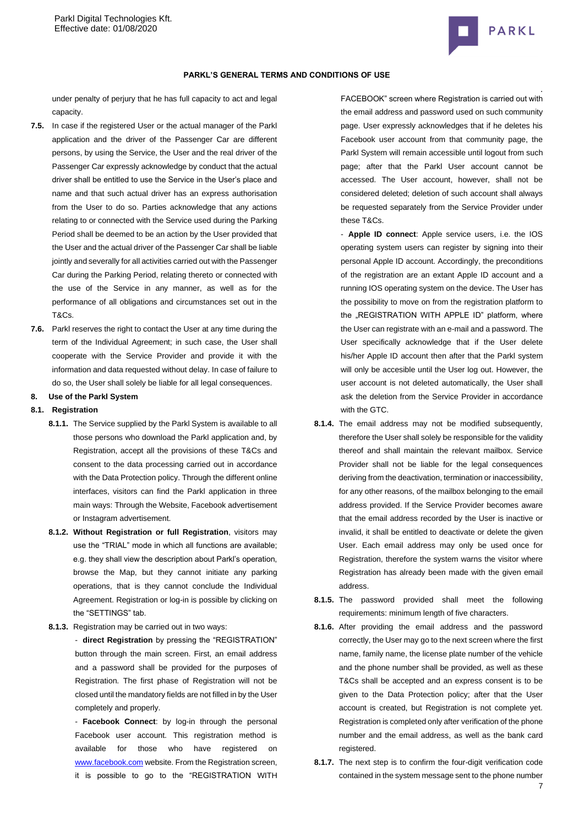

under penalty of perjury that he has full capacity to act and legal capacity.

- **7.5.** In case if the registered User or the actual manager of the Parkl application and the driver of the Passenger Car are different persons, by using the Service, the User and the real driver of the Passenger Car expressly acknowledge by conduct that the actual driver shall be entitled to use the Service in the User's place and name and that such actual driver has an express authorisation from the User to do so. Parties acknowledge that any actions relating to or connected with the Service used during the Parking Period shall be deemed to be an action by the User provided that the User and the actual driver of the Passenger Car shall be liable jointly and severally for all activities carried out with the Passenger Car during the Parking Period, relating thereto or connected with the use of the Service in any manner, as well as for the performance of all obligations and circumstances set out in the T&Cs.
- **7.6.** Parkl reserves the right to contact the User at any time during the term of the Individual Agreement; in such case, the User shall cooperate with the Service Provider and provide it with the information and data requested without delay. In case of failure to do so, the User shall solely be liable for all legal consequences.

# **8. Use of the Parkl System**

#### <span id="page-6-0"></span>**8.1. Registration**

- **8.1.1.** The Service supplied by the Parkl System is available to all those persons who download the Parkl application and, by Registration, accept all the provisions of these T&Cs and consent to the data processing carried out in accordance with the Data Protection policy. Through the different online interfaces, visitors can find the Parkl application in three main ways: Through the Website, Facebook advertisement or Instagram advertisement.
- **8.1.2. Without Registration or full Registration**, visitors may use the "TRIAL" mode in which all functions are available; e.g. they shall view the description about Parkl's operation, browse the Map, but they cannot initiate any parking operations, that is they cannot conclude the Individual Agreement. Registration or log-in is possible by clicking on the "SETTINGS" tab.
- **8.1.3.** Registration may be carried out in two ways:

- **direct Registration** by pressing the "REGISTRATION" button through the main screen. First, an email address and a password shall be provided for the purposes of Registration. The first phase of Registration will not be closed until the mandatory fields are not filled in by the User completely and properly.

- **Facebook Connect**: by log-in through the personal Facebook user account. This registration method is available for those who have registered on [www.facebook.com](http://www.facebook.com/) website. From the Registration screen, it is possible to go to the "REGISTRATION WITH

. FACEBOOK" screen where Registration is carried out with the email address and password used on such community page. User expressly acknowledges that if he deletes his Facebook user account from that community page, the Parkl System will remain accessible until logout from such page; after that the Parkl User account cannot be accessed. The User account, however, shall not be considered deleted; deletion of such account shall always be requested separately from the Service Provider under these T&Cs.

- **Apple ID connect**: Apple service users, i.e. the IOS operating system users can register by signing into their personal Apple ID account. Accordingly, the preconditions of the registration are an extant Apple ID account and a running IOS operating system on the device. The User has the possibility to move on from the registration platform to the "REGISTRATION WITH APPLE ID" platform, where the User can registrate with an e-mail and a password. The User specifically acknowledge that if the User delete his/her Apple ID account then after that the Parkl system will only be accesible until the User log out. However, the user account is not deleted automatically, the User shall ask the deletion from the Service Provider in accordance with the GTC.

- **8.1.4.** The email address may not be modified subsequently, therefore the User shall solely be responsible for the validity thereof and shall maintain the relevant mailbox. Service Provider shall not be liable for the legal consequences deriving from the deactivation, termination or inaccessibility, for any other reasons, of the mailbox belonging to the email address provided. If the Service Provider becomes aware that the email address recorded by the User is inactive or invalid, it shall be entitled to deactivate or delete the given User. Each email address may only be used once for Registration, therefore the system warns the visitor where Registration has already been made with the given email address.
- **8.1.5.** The password provided shall meet the following requirements: minimum length of five characters.
- **8.1.6.** After providing the email address and the password correctly, the User may go to the next screen where the first name, family name, the license plate number of the vehicle and the phone number shall be provided, as well as these T&Cs shall be accepted and an express consent is to be given to the Data Protection policy; after that the User account is created, but Registration is not complete yet. Registration is completed only after verification of the phone number and the email address, as well as the bank card registered.
- **8.1.7.** The next step is to confirm the four-digit verification code contained in the system message sent to the phone number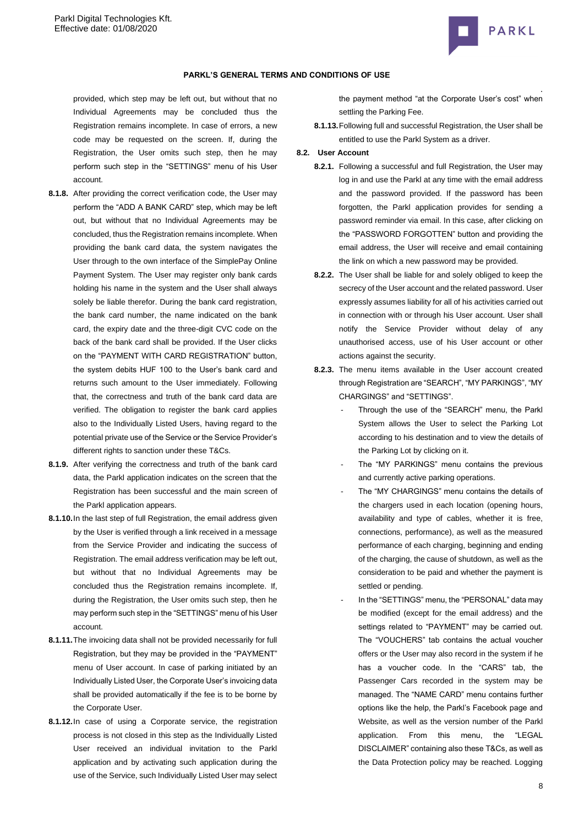

## **PARKL'S GENERAL TERMS AND CONDITIONS OF USE**

provided, which step may be left out, but without that no Individual Agreements may be concluded thus the Registration remains incomplete. In case of errors, a new code may be requested on the screen. If, during the Registration, the User omits such step, then he may perform such step in the "SETTINGS" menu of his User account.

- **8.1.8.** After providing the correct verification code, the User may perform the "ADD A BANK CARD" step, which may be left out, but without that no Individual Agreements may be concluded, thus the Registration remains incomplete. When providing the bank card data, the system navigates the User through to the own interface of the SimplePay Online Payment System. The User may register only bank cards holding his name in the system and the User shall always solely be liable therefor. During the bank card registration, the bank card number, the name indicated on the bank card, the expiry date and the three-digit CVC code on the back of the bank card shall be provided. If the User clicks on the "PAYMENT WITH CARD REGISTRATION" button, the system debits HUF 100 to the User's bank card and returns such amount to the User immediately. Following that, the correctness and truth of the bank card data are verified. The obligation to register the bank card applies also to the Individually Listed Users, having regard to the potential private use of the Service or the Service Provider's different rights to sanction under these T&Cs.
- **8.1.9.** After verifying the correctness and truth of the bank card data, the Parkl application indicates on the screen that the Registration has been successful and the main screen of the Parkl application appears.
- **8.1.10.**In the last step of full Registration, the email address given by the User is verified through a link received in a message from the Service Provider and indicating the success of Registration. The email address verification may be left out, but without that no Individual Agreements may be concluded thus the Registration remains incomplete. If, during the Registration, the User omits such step, then he may perform such step in the "SETTINGS" menu of his User account.
- **8.1.11.**The invoicing data shall not be provided necessarily for full Registration, but they may be provided in the "PAYMENT" menu of User account. In case of parking initiated by an Individually Listed User, the Corporate User's invoicing data shall be provided automatically if the fee is to be borne by the Corporate User.
- **8.1.12.**In case of using a Corporate service, the registration process is not closed in this step as the Individually Listed User received an individual invitation to the Parkl application and by activating such application during the use of the Service, such Individually Listed User may select

the payment method "at the Corporate User's cost" when settling the Parking Fee.

**8.1.13.**Following full and successful Registration, the User shall be entitled to use the Parkl System as a driver.

#### **8.2. User Account**

- **8.2.1.** Following a successful and full Registration, the User may log in and use the Parkl at any time with the email address and the password provided. If the password has been forgotten, the Parkl application provides for sending a password reminder via email. In this case, after clicking on the "PASSWORD FORGOTTEN" button and providing the email address, the User will receive and email containing the link on which a new password may be provided.
- **8.2.2.** The User shall be liable for and solely obliged to keep the secrecy of the User account and the related password. User expressly assumes liability for all of his activities carried out in connection with or through his User account. User shall notify the Service Provider without delay of any unauthorised access, use of his User account or other actions against the security.
- **8.2.3.** The menu items available in the User account created through Registration are "SEARCH", "MY PARKINGS", "MY CHARGINGS" and "SETTINGS".
	- Through the use of the "SEARCH" menu, the Parkl System allows the User to select the Parking Lot according to his destination and to view the details of the Parking Lot by clicking on it.
	- The "MY PARKINGS" menu contains the previous and currently active parking operations.
	- The "MY CHARGINGS" menu contains the details of the chargers used in each location (opening hours, availability and type of cables, whether it is free, connections, performance), as well as the measured performance of each charging, beginning and ending of the charging, the cause of shutdown, as well as the consideration to be paid and whether the payment is settled or pending.
	- In the "SETTINGS" menu, the "PERSONAL" data may be modified (except for the email address) and the settings related to "PAYMENT" may be carried out. The "VOUCHERS" tab contains the actual voucher offers or the User may also record in the system if he has a voucher code. In the "CARS" tab, the Passenger Cars recorded in the system may be managed. The "NAME CARD" menu contains further options like the help, the Parkl's Facebook page and Website, as well as the version number of the Parkl application. From this menu, the "LEGAL DISCLAIMER" containing also these T&Cs, as well as the Data Protection policy may be reached. Logging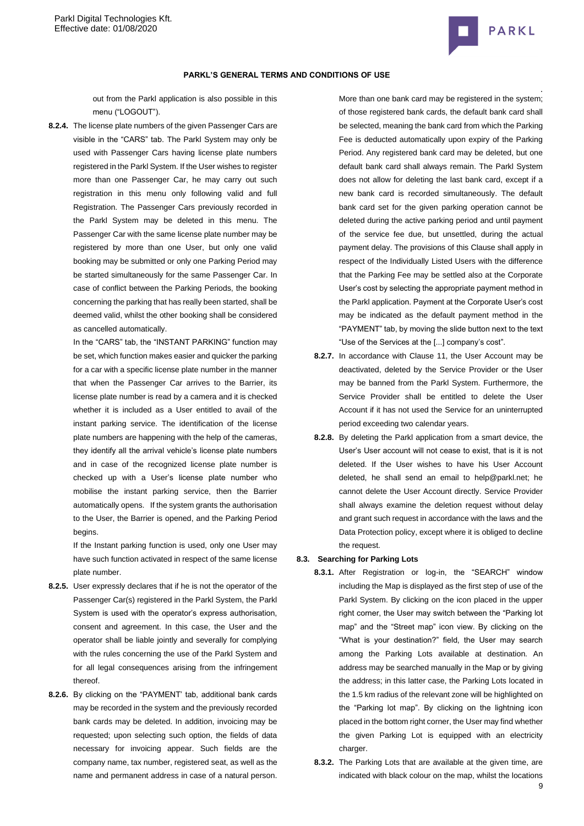

out from the Parkl application is also possible in this menu ("LOGOUT").

**8.2.4.** The license plate numbers of the given Passenger Cars are visible in the "CARS" tab. The Parkl System may only be used with Passenger Cars having license plate numbers registered in the Parkl System. If the User wishes to register more than one Passenger Car, he may carry out such registration in this menu only following valid and full Registration. The Passenger Cars previously recorded in the Parkl System may be deleted in this menu. The Passenger Car with the same license plate number may be registered by more than one User, but only one valid booking may be submitted or only one Parking Period may be started simultaneously for the same Passenger Car. In case of conflict between the Parking Periods, the booking concerning the parking that has really been started, shall be deemed valid, whilst the other booking shall be considered as cancelled automatically.

> In the "CARS" tab, the "INSTANT PARKING" function may be set, which function makes easier and quicker the parking for a car with a specific license plate number in the manner that when the Passenger Car arrives to the Barrier, its license plate number is read by a camera and it is checked whether it is included as a User entitled to avail of the instant parking service. The identification of the license plate numbers are happening with the help of the cameras, they identify all the arrival vehicle's license plate numbers and in case of the recognized license plate number is checked up with a User's license plate number who mobilise the instant parking service, then the Barrier automatically opens. If the system grants the authorisation to the User, the Barrier is opened, and the Parking Period begins.

> If the Instant parking function is used, only one User may have such function activated in respect of the same license plate number.

- **8.2.5.** User expressly declares that if he is not the operator of the Passenger Car(s) registered in the Parkl System, the Parkl System is used with the operator's express authorisation, consent and agreement. In this case, the User and the operator shall be liable jointly and severally for complying with the rules concerning the use of the Parkl System and for all legal consequences arising from the infringement thereof.
- **8.2.6.** By clicking on the "PAYMENT' tab, additional bank cards may be recorded in the system and the previously recorded bank cards may be deleted. In addition, invoicing may be requested; upon selecting such option, the fields of data necessary for invoicing appear. Such fields are the company name, tax number, registered seat, as well as the name and permanent address in case of a natural person.

. More than one bank card may be registered in the system; of those registered bank cards, the default bank card shall be selected, meaning the bank card from which the Parking Fee is deducted automatically upon expiry of the Parking Period. Any registered bank card may be deleted, but one default bank card shall always remain. The Parkl System does not allow for deleting the last bank card, except if a new bank card is recorded simultaneously. The default bank card set for the given parking operation cannot be deleted during the active parking period and until payment of the service fee due, but unsettled, during the actual payment delay. The provisions of this Clause shall apply in respect of the Individually Listed Users with the difference that the Parking Fee may be settled also at the Corporate User's cost by selecting the appropriate payment method in the Parkl application. Payment at the Corporate User's cost may be indicated as the default payment method in the "PAYMENT" tab, by moving the slide button next to the text "Use of the Services at the [...] company's cost".

- **8.2.7.** In accordance with Clause 11, the User Account may be deactivated, deleted by the Service Provider or the User may be banned from the Parkl System. Furthermore, the Service Provider shall be entitled to delete the User Account if it has not used the Service for an uninterrupted period exceeding two calendar years.
- **8.2.8.** By deleting the Parkl application from a smart device, the User's User account will not cease to exist, that is it is not deleted. If the User wishes to have his User Account deleted, he shall send an email to help@parkl.net; he cannot delete the User Account directly. Service Provider shall always examine the deletion request without delay and grant such request in accordance with the laws and the Data Protection policy, except where it is obliged to decline the request.

#### **8.3. Searching for Parking Lots**

- **8.3.1.** After Registration or log-in, the "SEARCH" window including the Map is displayed as the first step of use of the Parkl System. By clicking on the icon placed in the upper right corner, the User may switch between the "Parking lot map" and the "Street map" icon view. By clicking on the "What is your destination?" field, the User may search among the Parking Lots available at destination. An address may be searched manually in the Map or by giving the address; in this latter case, the Parking Lots located in the 1.5 km radius of the relevant zone will be highlighted on the "Parking lot map". By clicking on the lightning icon placed in the bottom right corner, the User may find whether the given Parking Lot is equipped with an electricity charger.
- **8.3.2.** The Parking Lots that are available at the given time, are indicated with black colour on the map, whilst the locations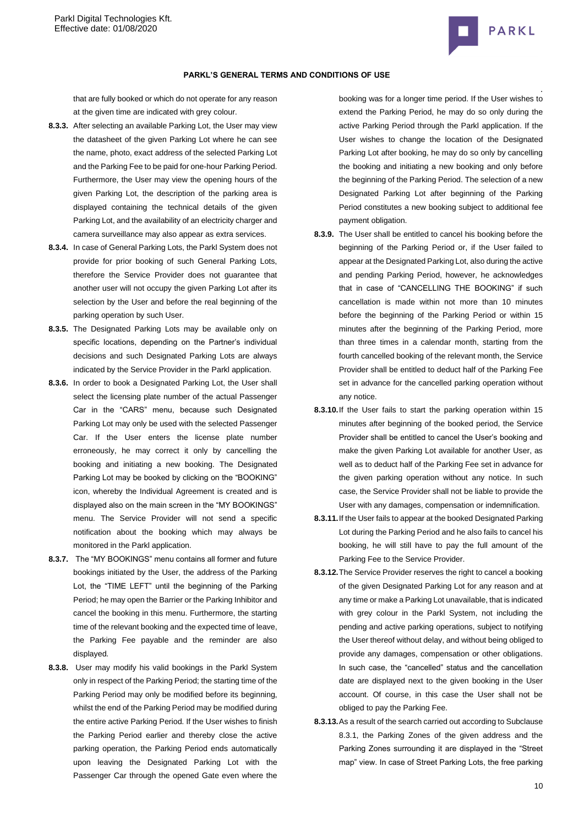

that are fully booked or which do not operate for any reason at the given time are indicated with grey colour.

- **8.3.3.** After selecting an available Parking Lot, the User may view the datasheet of the given Parking Lot where he can see the name, photo, exact address of the selected Parking Lot and the Parking Fee to be paid for one-hour Parking Period. Furthermore, the User may view the opening hours of the given Parking Lot, the description of the parking area is displayed containing the technical details of the given Parking Lot, and the availability of an electricity charger and camera surveillance may also appear as extra services.
- **8.3.4.** In case of General Parking Lots, the Parkl System does not provide for prior booking of such General Parking Lots, therefore the Service Provider does not guarantee that another user will not occupy the given Parking Lot after its selection by the User and before the real beginning of the parking operation by such User.
- **8.3.5.** The Designated Parking Lots may be available only on specific locations, depending on the Partner's individual decisions and such Designated Parking Lots are always indicated by the Service Provider in the Parkl application.
- **8.3.6.** In order to book a Designated Parking Lot, the User shall select the licensing plate number of the actual Passenger Car in the "CARS" menu, because such Designated Parking Lot may only be used with the selected Passenger Car. If the User enters the license plate number erroneously, he may correct it only by cancelling the booking and initiating a new booking. The Designated Parking Lot may be booked by clicking on the "BOOKING" icon, whereby the Individual Agreement is created and is displayed also on the main screen in the "MY BOOKINGS" menu. The Service Provider will not send a specific notification about the booking which may always be monitored in the Parkl application.
- **8.3.7.** The "MY BOOKINGS" menu contains all former and future bookings initiated by the User, the address of the Parking Lot, the "TIME LEFT" until the beginning of the Parking Period; he may open the Barrier or the Parking Inhibitor and cancel the booking in this menu. Furthermore, the starting time of the relevant booking and the expected time of leave, the Parking Fee payable and the reminder are also displayed.
- **8.3.8.** User may modify his valid bookings in the Parkl System only in respect of the Parking Period; the starting time of the Parking Period may only be modified before its beginning, whilst the end of the Parking Period may be modified during the entire active Parking Period. If the User wishes to finish the Parking Period earlier and thereby close the active parking operation, the Parking Period ends automatically upon leaving the Designated Parking Lot with the Passenger Car through the opened Gate even where the

. booking was for a longer time period. If the User wishes to extend the Parking Period, he may do so only during the active Parking Period through the Parkl application. If the User wishes to change the location of the Designated Parking Lot after booking, he may do so only by cancelling the booking and initiating a new booking and only before the beginning of the Parking Period. The selection of a new Designated Parking Lot after beginning of the Parking Period constitutes a new booking subject to additional fee payment obligation.

- **8.3.9.** The User shall be entitled to cancel his booking before the beginning of the Parking Period or, if the User failed to appear at the Designated Parking Lot, also during the active and pending Parking Period, however, he acknowledges that in case of "CANCELLING THE BOOKING" if such cancellation is made within not more than 10 minutes before the beginning of the Parking Period or within 15 minutes after the beginning of the Parking Period, more than three times in a calendar month, starting from the fourth cancelled booking of the relevant month, the Service Provider shall be entitled to deduct half of the Parking Fee set in advance for the cancelled parking operation without any notice.
- **8.3.10.**If the User fails to start the parking operation within 15 minutes after beginning of the booked period, the Service Provider shall be entitled to cancel the User's booking and make the given Parking Lot available for another User, as well as to deduct half of the Parking Fee set in advance for the given parking operation without any notice. In such case, the Service Provider shall not be liable to provide the User with any damages, compensation or indemnification.
- **8.3.11.**If the User fails to appear at the booked Designated Parking Lot during the Parking Period and he also fails to cancel his booking, he will still have to pay the full amount of the Parking Fee to the Service Provider.
- **8.3.12.**The Service Provider reserves the right to cancel a booking of the given Designated Parking Lot for any reason and at any time or make a Parking Lot unavailable, that is indicated with grey colour in the Parkl System, not including the pending and active parking operations, subject to notifying the User thereof without delay, and without being obliged to provide any damages, compensation or other obligations. In such case, the "cancelled" status and the cancellation date are displayed next to the given booking in the User account. Of course, in this case the User shall not be obliged to pay the Parking Fee.
- **8.3.13.**As a result of the search carried out according to Subclause 8.3.1, the Parking Zones of the given address and the Parking Zones surrounding it are displayed in the "Street map" view. In case of Street Parking Lots, the free parking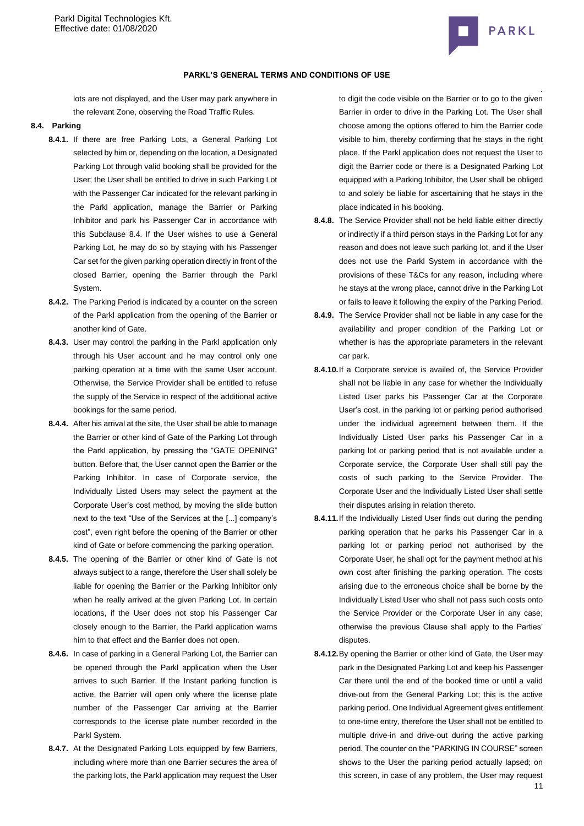

lots are not displayed, and the User may park anywhere in the relevant Zone, observing the Road Traffic Rules.

## <span id="page-10-0"></span>**8.4. Parking**

- **8.4.1.** If there are free Parking Lots, a General Parking Lot selected by him or, depending on the location, a Designated Parking Lot through valid booking shall be provided for the User; the User shall be entitled to drive in such Parking Lot with the Passenger Car indicated for the relevant parking in the Parkl application, manage the Barrier or Parking Inhibitor and park his Passenger Car in accordance with this Subclause [8.4.](#page-10-0) If the User wishes to use a General Parking Lot, he may do so by staying with his Passenger Car set for the given parking operation directly in front of the closed Barrier, opening the Barrier through the Parkl System.
- **8.4.2.** The Parking Period is indicated by a counter on the screen of the Parkl application from the opening of the Barrier or another kind of Gate.
- **8.4.3.** User may control the parking in the Parkl application only through his User account and he may control only one parking operation at a time with the same User account. Otherwise, the Service Provider shall be entitled to refuse the supply of the Service in respect of the additional active bookings for the same period.
- **8.4.4.** After his arrival at the site, the User shall be able to manage the Barrier or other kind of Gate of the Parking Lot through the Parkl application, by pressing the "GATE OPENING" button. Before that, the User cannot open the Barrier or the Parking Inhibitor. In case of Corporate service, the Individually Listed Users may select the payment at the Corporate User's cost method, by moving the slide button next to the text "Use of the Services at the [...] company's cost", even right before the opening of the Barrier or other kind of Gate or before commencing the parking operation.
- **8.4.5.** The opening of the Barrier or other kind of Gate is not always subject to a range, therefore the User shall solely be liable for opening the Barrier or the Parking Inhibitor only when he really arrived at the given Parking Lot. In certain locations, if the User does not stop his Passenger Car closely enough to the Barrier, the Parkl application warns him to that effect and the Barrier does not open.
- **8.4.6.** In case of parking in a General Parking Lot, the Barrier can be opened through the Parkl application when the User arrives to such Barrier. If the Instant parking function is active, the Barrier will open only where the license plate number of the Passenger Car arriving at the Barrier corresponds to the license plate number recorded in the Parkl System.
- **8.4.7.** At the Designated Parking Lots equipped by few Barriers, including where more than one Barrier secures the area of the parking lots, the Parkl application may request the User

. to digit the code visible on the Barrier or to go to the given Barrier in order to drive in the Parking Lot. The User shall choose among the options offered to him the Barrier code visible to him, thereby confirming that he stays in the right place. If the Parkl application does not request the User to digit the Barrier code or there is a Designated Parking Lot equipped with a Parking Inhibitor, the User shall be obliged to and solely be liable for ascertaining that he stays in the place indicated in his booking.

- **8.4.8.** The Service Provider shall not be held liable either directly or indirectly if a third person stays in the Parking Lot for any reason and does not leave such parking lot, and if the User does not use the Parkl System in accordance with the provisions of these T&Cs for any reason, including where he stays at the wrong place, cannot drive in the Parking Lot or fails to leave it following the expiry of the Parking Period.
- **8.4.9.** The Service Provider shall not be liable in any case for the availability and proper condition of the Parking Lot or whether is has the appropriate parameters in the relevant car park.
- **8.4.10.**If a Corporate service is availed of, the Service Provider shall not be liable in any case for whether the Individually Listed User parks his Passenger Car at the Corporate User's cost, in the parking lot or parking period authorised under the individual agreement between them. If the Individually Listed User parks his Passenger Car in a parking lot or parking period that is not available under a Corporate service, the Corporate User shall still pay the costs of such parking to the Service Provider. The Corporate User and the Individually Listed User shall settle their disputes arising in relation thereto.
- **8.4.11.**If the Individually Listed User finds out during the pending parking operation that he parks his Passenger Car in a parking lot or parking period not authorised by the Corporate User, he shall opt for the payment method at his own cost after finishing the parking operation. The costs arising due to the erroneous choice shall be borne by the Individually Listed User who shall not pass such costs onto the Service Provider or the Corporate User in any case; otherwise the previous Clause shall apply to the Parties' disputes.
- **8.4.12.**By opening the Barrier or other kind of Gate, the User may park in the Designated Parking Lot and keep his Passenger Car there until the end of the booked time or until a valid drive-out from the General Parking Lot; this is the active parking period. One Individual Agreement gives entitlement to one-time entry, therefore the User shall not be entitled to multiple drive-in and drive-out during the active parking period. The counter on the "PARKING IN COURSE" screen shows to the User the parking period actually lapsed; on this screen, in case of any problem, the User may request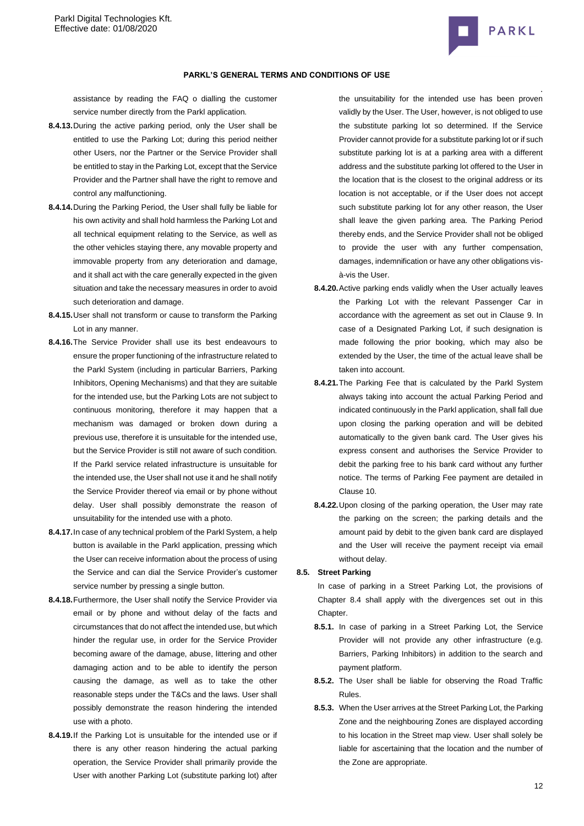

### **PARKL'S GENERAL TERMS AND CONDITIONS OF USE**

assistance by reading the FAQ o dialling the customer service number directly from the Parkl application.

- **8.4.13.**During the active parking period, only the User shall be entitled to use the Parking Lot; during this period neither other Users, nor the Partner or the Service Provider shall be entitled to stay in the Parking Lot, except that the Service Provider and the Partner shall have the right to remove and control any malfunctioning.
- **8.4.14.**During the Parking Period, the User shall fully be liable for his own activity and shall hold harmless the Parking Lot and all technical equipment relating to the Service, as well as the other vehicles staying there, any movable property and immovable property from any deterioration and damage, and it shall act with the care generally expected in the given situation and take the necessary measures in order to avoid such deterioration and damage.
- **8.4.15.**User shall not transform or cause to transform the Parking Lot in any manner.
- **8.4.16.**The Service Provider shall use its best endeavours to ensure the proper functioning of the infrastructure related to the Parkl System (including in particular Barriers, Parking Inhibitors, Opening Mechanisms) and that they are suitable for the intended use, but the Parking Lots are not subject to continuous monitoring, therefore it may happen that a mechanism was damaged or broken down during a previous use, therefore it is unsuitable for the intended use, but the Service Provider is still not aware of such condition. If the Parkl service related infrastructure is unsuitable for the intended use, the User shall not use it and he shall notify the Service Provider thereof via email or by phone without delay. User shall possibly demonstrate the reason of unsuitability for the intended use with a photo.
- **8.4.17.**In case of any technical problem of the Parkl System, a help button is available in the Parkl application, pressing which the User can receive information about the process of using the Service and can dial the Service Provider's customer service number by pressing a single button.
- **8.4.18.**Furthermore, the User shall notify the Service Provider via email or by phone and without delay of the facts and circumstances that do not affect the intended use, but which hinder the regular use, in order for the Service Provider becoming aware of the damage, abuse, littering and other damaging action and to be able to identify the person causing the damage, as well as to take the other reasonable steps under the T&Cs and the laws. User shall possibly demonstrate the reason hindering the intended use with a photo.
- **8.4.19.**If the Parking Lot is unsuitable for the intended use or if there is any other reason hindering the actual parking operation, the Service Provider shall primarily provide the User with another Parking Lot (substitute parking lot) after

the unsuitability for the intended use has been proven validly by the User. The User, however, is not obliged to use the substitute parking lot so determined. If the Service Provider cannot provide for a substitute parking lot or if such substitute parking lot is at a parking area with a different address and the substitute parking lot offered to the User in the location that is the closest to the original address or its location is not acceptable, or if the User does not accept such substitute parking lot for any other reason, the User shall leave the given parking area. The Parking Period thereby ends, and the Service Provider shall not be obliged to provide the user with any further compensation, damages, indemnification or have any other obligations visà-vis the User.

- **8.4.20.**Active parking ends validly when the User actually leaves the Parking Lot with the relevant Passenger Car in accordance with the agreement as set out in Clause [9.](#page-12-0) In case of a Designated Parking Lot, if such designation is made following the prior booking, which may also be extended by the User, the time of the actual leave shall be taken into account.
- **8.4.21.**The Parking Fee that is calculated by the Parkl System always taking into account the actual Parking Period and indicated continuously in the Parkl application, shall fall due upon closing the parking operation and will be debited automatically to the given bank card. The User gives his express consent and authorises the Service Provider to debit the parking free to his bank card without any further notice. The terms of Parking Fee payment are detailed in Claus[e 10.](#page-12-1)
- **8.4.22.**Upon closing of the parking operation, the User may rate the parking on the screen; the parking details and the amount paid by debit to the given bank card are displayed and the User will receive the payment receipt via email without delay.

## **8.5. Street Parking**

In case of parking in a Street Parking Lot, the provisions of Chapter 8.4 shall apply with the divergences set out in this Chapter.

- **8.5.1.** In case of parking in a Street Parking Lot, the Service Provider will not provide any other infrastructure (e.g. Barriers, Parking Inhibitors) in addition to the search and payment platform.
- **8.5.2.** The User shall be liable for observing the Road Traffic Rules.
- **8.5.3.** When the User arrives at the Street Parking Lot, the Parking Zone and the neighbouring Zones are displayed according to his location in the Street map view. User shall solely be liable for ascertaining that the location and the number of the Zone are appropriate.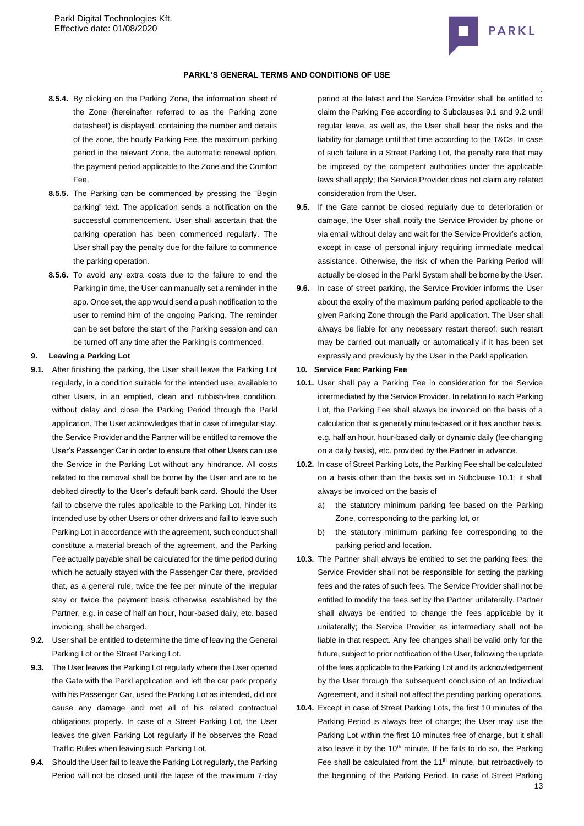

#### **PARKL'S GENERAL TERMS AND CONDITIONS OF USE**

- **8.5.4.** By clicking on the Parking Zone, the information sheet of the Zone (hereinafter referred to as the Parking zone datasheet) is displayed, containing the number and details of the zone, the hourly Parking Fee, the maximum parking period in the relevant Zone, the automatic renewal option, the payment period applicable to the Zone and the Comfort Fee.
- **8.5.5.** The Parking can be commenced by pressing the "Begin parking" text. The application sends a notification on the successful commencement. User shall ascertain that the parking operation has been commenced regularly. The User shall pay the penalty due for the failure to commence the parking operation.
- **8.5.6.** To avoid any extra costs due to the failure to end the Parking in time, the User can manually set a reminder in the app. Once set, the app would send a push notification to the user to remind him of the ongoing Parking. The reminder can be set before the start of the Parking session and can be turned off any time after the Parking is commenced.

### <span id="page-12-0"></span>**9. Leaving a Parking Lot**

- **9.1.** After finishing the parking, the User shall leave the Parking Lot regularly, in a condition suitable for the intended use, available to other Users, in an emptied, clean and rubbish-free condition, without delay and close the Parking Period through the Parkl application. The User acknowledges that in case of irregular stay, the Service Provider and the Partner will be entitled to remove the User's Passenger Car in order to ensure that other Users can use the Service in the Parking Lot without any hindrance. All costs related to the removal shall be borne by the User and are to be debited directly to the User's default bank card. Should the User fail to observe the rules applicable to the Parking Lot, hinder its intended use by other Users or other drivers and fail to leave such Parking Lot in accordance with the agreement, such conduct shall constitute a material breach of the agreement, and the Parking Fee actually payable shall be calculated for the time period during which he actually stayed with the Passenger Car there, provided that, as a general rule, twice the fee per minute of the irregular stay or twice the payment basis otherwise established by the Partner, e.g. in case of half an hour, hour-based daily, etc. based invoicing, shall be charged.
- **9.2.** User shall be entitled to determine the time of leaving the General Parking Lot or the Street Parking Lot.
- **9.3.** The User leaves the Parking Lot regularly where the User opened the Gate with the Parkl application and left the car park properly with his Passenger Car, used the Parking Lot as intended, did not cause any damage and met all of his related contractual obligations properly. In case of a Street Parking Lot, the User leaves the given Parking Lot regularly if he observes the Road Traffic Rules when leaving such Parking Lot.
- **9.4.** Should the User fail to leave the Parking Lot regularly, the Parking Period will not be closed until the lapse of the maximum 7-day

period at the latest and the Service Provider shall be entitled to claim the Parking Fee according to Subclauses 9.1 and 9.2 until regular leave, as well as, the User shall bear the risks and the liability for damage until that time according to the T&Cs. In case of such failure in a Street Parking Lot, the penalty rate that may be imposed by the competent authorities under the applicable laws shall apply; the Service Provider does not claim any related consideration from the User.

- **9.5.** If the Gate cannot be closed regularly due to deterioration or damage, the User shall notify the Service Provider by phone or via email without delay and wait for the Service Provider's action, except in case of personal injury requiring immediate medical assistance. Otherwise, the risk of when the Parking Period will actually be closed in the Parkl System shall be borne by the User.
- **9.6.** In case of street parking, the Service Provider informs the User about the expiry of the maximum parking period applicable to the given Parking Zone through the Parkl application. The User shall always be liable for any necessary restart thereof; such restart may be carried out manually or automatically if it has been set expressly and previously by the User in the Parkl application.
- <span id="page-12-1"></span>**10. Service Fee: Parking Fee**
- **10.1.** User shall pay a Parking Fee in consideration for the Service intermediated by the Service Provider. In relation to each Parking Lot, the Parking Fee shall always be invoiced on the basis of a calculation that is generally minute-based or it has another basis, e.g. half an hour, hour-based daily or dynamic daily (fee changing on a daily basis), etc. provided by the Partner in advance.
- **10.2.** In case of Street Parking Lots, the Parking Fee shall be calculated on a basis other than the basis set in Subclause 10.1; it shall always be invoiced on the basis of
	- a) the statutory minimum parking fee based on the Parking Zone, corresponding to the parking lot, or
	- b) the statutory minimum parking fee corresponding to the parking period and location.
- **10.3.** The Partner shall always be entitled to set the parking fees; the Service Provider shall not be responsible for setting the parking fees and the rates of such fees. The Service Provider shall not be entitled to modify the fees set by the Partner unilaterally. Partner shall always be entitled to change the fees applicable by it unilaterally; the Service Provider as intermediary shall not be liable in that respect. Any fee changes shall be valid only for the future, subject to prior notification of the User, following the update of the fees applicable to the Parking Lot and its acknowledgement by the User through the subsequent conclusion of an Individual Agreement, and it shall not affect the pending parking operations.
- **10.4.** Except in case of Street Parking Lots, the first 10 minutes of the Parking Period is always free of charge; the User may use the Parking Lot within the first 10 minutes free of charge, but it shall also leave it by the  $10<sup>th</sup>$  minute. If he fails to do so, the Parking Fee shall be calculated from the  $11<sup>th</sup>$  minute, but retroactively to the beginning of the Parking Period. In case of Street Parking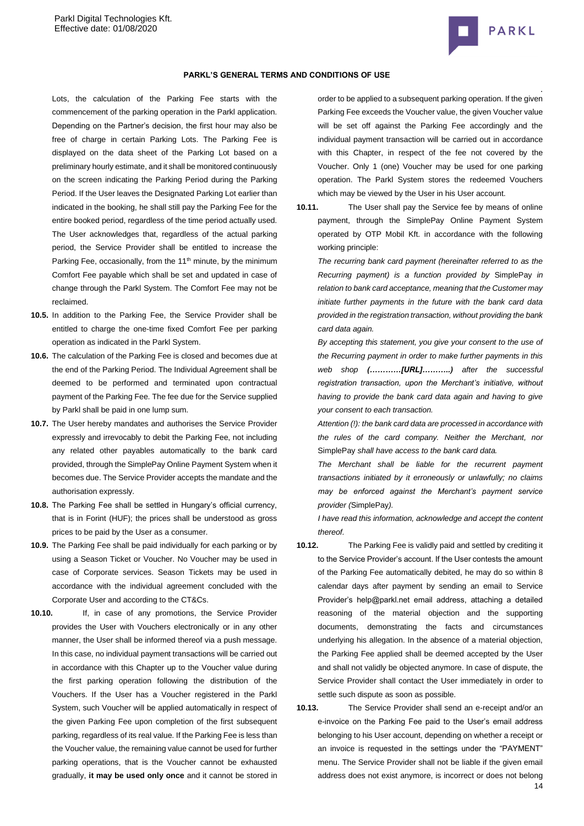

### **PARKL'S GENERAL TERMS AND CONDITIONS OF USE**

Lots, the calculation of the Parking Fee starts with the commencement of the parking operation in the Parkl application. Depending on the Partner's decision, the first hour may also be free of charge in certain Parking Lots. The Parking Fee is displayed on the data sheet of the Parking Lot based on a preliminary hourly estimate, and it shall be monitored continuously on the screen indicating the Parking Period during the Parking Period. If the User leaves the Designated Parking Lot earlier than indicated in the booking, he shall still pay the Parking Fee for the entire booked period, regardless of the time period actually used. The User acknowledges that, regardless of the actual parking period, the Service Provider shall be entitled to increase the Parking Fee, occasionally, from the 11<sup>th</sup> minute, by the minimum Comfort Fee payable which shall be set and updated in case of change through the Parkl System. The Comfort Fee may not be reclaimed.

- **10.5.** In addition to the Parking Fee, the Service Provider shall be entitled to charge the one-time fixed Comfort Fee per parking operation as indicated in the Parkl System.
- **10.6.** The calculation of the Parking Fee is closed and becomes due at the end of the Parking Period. The Individual Agreement shall be deemed to be performed and terminated upon contractual payment of the Parking Fee. The fee due for the Service supplied by Parkl shall be paid in one lump sum.
- **10.7.** The User hereby mandates and authorises the Service Provider expressly and irrevocably to debit the Parking Fee, not including any related other payables automatically to the bank card provided, through the SimplePay Online Payment System when it becomes due. The Service Provider accepts the mandate and the authorisation expressly.
- **10.8.** The Parking Fee shall be settled in Hungary's official currency, that is in Forint (HUF); the prices shall be understood as gross prices to be paid by the User as a consumer.
- **10.9.** The Parking Fee shall be paid individually for each parking or by using a Season Ticket or Voucher. No Voucher may be used in case of Corporate services. Season Tickets may be used in accordance with the individual agreement concluded with the Corporate User and according to the CT&Cs.
- **10.10.** If, in case of any promotions, the Service Provider provides the User with Vouchers electronically or in any other manner, the User shall be informed thereof via a push message. In this case, no individual payment transactions will be carried out in accordance with this Chapter up to the Voucher value during the first parking operation following the distribution of the Vouchers. If the User has a Voucher registered in the Parkl System, such Voucher will be applied automatically in respect of the given Parking Fee upon completion of the first subsequent parking, regardless of its real value. If the Parking Fee is less than the Voucher value, the remaining value cannot be used for further parking operations, that is the Voucher cannot be exhausted gradually, **it may be used only once** and it cannot be stored in

order to be applied to a subsequent parking operation. If the given Parking Fee exceeds the Voucher value, the given Voucher value will be set off against the Parking Fee accordingly and the individual payment transaction will be carried out in accordance with this Chapter, in respect of the fee not covered by the Voucher. Only 1 (one) Voucher may be used for one parking operation. The Parkl System stores the redeemed Vouchers which may be viewed by the User in his User account.

**10.11.** The User shall pay the Service fee by means of online payment, through the SimplePay Online Payment System operated by OTP Mobil Kft. in accordance with the following working principle:

*The recurring bank card payment (hereinafter referred to as the Recurring payment) is a function provided by* SimplePay *in relation to bank card acceptance, meaning that the Customer may initiate further payments in the future with the bank card data provided in the registration transaction, without providing the bank card data again.*

*By accepting this statement, you give your consent to the use of the Recurring payment in order to make further payments in this web shop (…………[URL]………..) after the successful registration transaction, upon the Merchant's initiative, without having to provide the bank card data again and having to give your consent to each transaction.*

*Attention (!): the bank card data are processed in accordance with the rules of the card company. Neither the Merchant, nor*  SimplePay *shall have access to the bank card data.*

*The Merchant shall be liable for the recurrent payment transactions initiated by it erroneously or unlawfully; no claims may be enforced against the Merchant's payment service provider (*SimplePay*).*

*I have read this information, acknowledge and accept the content thereof.*

- **10.12.** The Parking Fee is validly paid and settled by crediting it to the Service Provider's account. If the User contests the amount of the Parking Fee automatically debited, he may do so within 8 calendar days after payment by sending an email to Service Provider's help@parkl.net email address, attaching a detailed reasoning of the material objection and the supporting documents, demonstrating the facts and circumstances underlying his allegation. In the absence of a material objection, the Parking Fee applied shall be deemed accepted by the User and shall not validly be objected anymore. In case of dispute, the Service Provider shall contact the User immediately in order to settle such dispute as soon as possible.
- **10.13.** The Service Provider shall send an e-receipt and/or an e-invoice on the Parking Fee paid to the User's email address belonging to his User account, depending on whether a receipt or an invoice is requested in the settings under the "PAYMENT" menu. The Service Provider shall not be liable if the given email address does not exist anymore, is incorrect or does not belong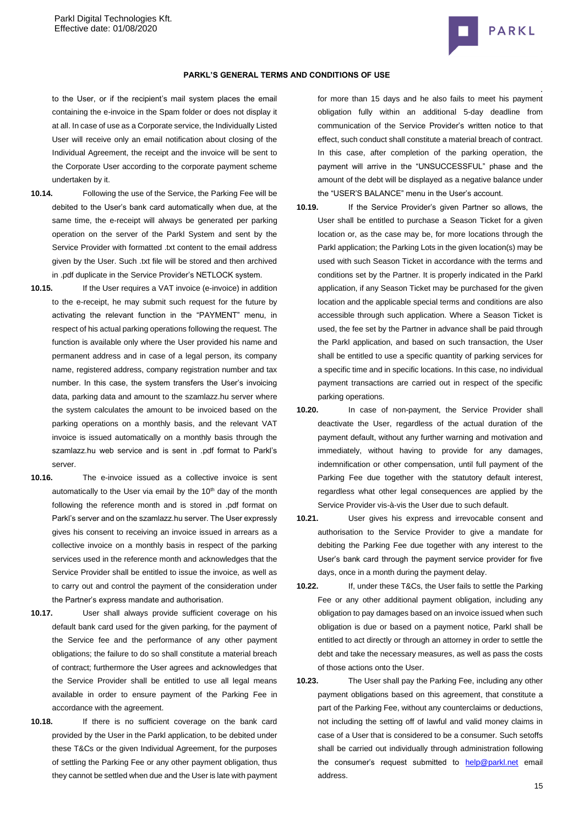

to the User, or if the recipient's mail system places the email containing the e-invoice in the Spam folder or does not display it at all. In case of use as a Corporate service, the Individually Listed User will receive only an email notification about closing of the Individual Agreement, the receipt and the invoice will be sent to the Corporate User according to the corporate payment scheme undertaken by it.

- **10.14.** Following the use of the Service, the Parking Fee will be debited to the User's bank card automatically when due, at the same time, the e-receipt will always be generated per parking operation on the server of the Parkl System and sent by the Service Provider with formatted .txt content to the email address given by the User. Such .txt file will be stored and then archived in .pdf duplicate in the Service Provider's NETLOCK system.
- **10.15.** If the User requires a VAT invoice (e-invoice) in addition to the e-receipt, he may submit such request for the future by activating the relevant function in the "PAYMENT" menu, in respect of his actual parking operations following the request. The function is available only where the User provided his name and permanent address and in case of a legal person, its company name, registered address, company registration number and tax number. In this case, the system transfers the User's invoicing data, parking data and amount to the szamlazz.hu server where the system calculates the amount to be invoiced based on the parking operations on a monthly basis, and the relevant VAT invoice is issued automatically on a monthly basis through the szamlazz.hu web service and is sent in .pdf format to Parkl's server.
- **10.16.** The e-invoice issued as a collective invoice is sent automatically to the User via email by the 10<sup>th</sup> day of the month following the reference month and is stored in .pdf format on Parkl's server and on the szamlazz.hu server. The User expressly gives his consent to receiving an invoice issued in arrears as a collective invoice on a monthly basis in respect of the parking services used in the reference month and acknowledges that the Service Provider shall be entitled to issue the invoice, as well as to carry out and control the payment of the consideration under the Partner's express mandate and authorisation.
- **10.17.** User shall always provide sufficient coverage on his default bank card used for the given parking, for the payment of the Service fee and the performance of any other payment obligations; the failure to do so shall constitute a material breach of contract; furthermore the User agrees and acknowledges that the Service Provider shall be entitled to use all legal means available in order to ensure payment of the Parking Fee in accordance with the agreement.
- **10.18.** If there is no sufficient coverage on the bank card provided by the User in the Parkl application, to be debited under these T&Cs or the given Individual Agreement, for the purposes of settling the Parking Fee or any other payment obligation, thus they cannot be settled when due and the User is late with payment

. for more than 15 days and he also fails to meet his payment obligation fully within an additional 5-day deadline from communication of the Service Provider's written notice to that effect, such conduct shall constitute a material breach of contract. In this case, after completion of the parking operation, the payment will arrive in the "UNSUCCESSFUL" phase and the amount of the debt will be displayed as a negative balance under the "USER'S BALANCE" menu in the User's account.

- **10.19.** If the Service Provider's given Partner so allows, the User shall be entitled to purchase a Season Ticket for a given location or, as the case may be, for more locations through the Parkl application; the Parking Lots in the given location(s) may be used with such Season Ticket in accordance with the terms and conditions set by the Partner. It is properly indicated in the Parkl application, if any Season Ticket may be purchased for the given location and the applicable special terms and conditions are also accessible through such application. Where a Season Ticket is used, the fee set by the Partner in advance shall be paid through the Parkl application, and based on such transaction, the User shall be entitled to use a specific quantity of parking services for a specific time and in specific locations. In this case, no individual payment transactions are carried out in respect of the specific parking operations.
- **10.20.** In case of non-payment, the Service Provider shall deactivate the User, regardless of the actual duration of the payment default, without any further warning and motivation and immediately, without having to provide for any damages, indemnification or other compensation, until full payment of the Parking Fee due together with the statutory default interest, regardless what other legal consequences are applied by the Service Provider vis-à-vis the User due to such default.
- **10.21.** User gives his express and irrevocable consent and authorisation to the Service Provider to give a mandate for debiting the Parking Fee due together with any interest to the User's bank card through the payment service provider for five days, once in a month during the payment delay.
- **10.22.** If, under these T&Cs, the User fails to settle the Parking Fee or any other additional payment obligation, including any obligation to pay damages based on an invoice issued when such obligation is due or based on a payment notice, Parkl shall be entitled to act directly or through an attorney in order to settle the debt and take the necessary measures, as well as pass the costs of those actions onto the User.
- **10.23.** The User shall pay the Parking Fee, including any other payment obligations based on this agreement, that constitute a part of the Parking Fee, without any counterclaims or deductions, not including the setting off of lawful and valid money claims in case of a User that is considered to be a consumer. Such setoffs shall be carried out individually through administration following the consumer's request submitted to [help@parkl.net](mailto:help@parkl.net) email address.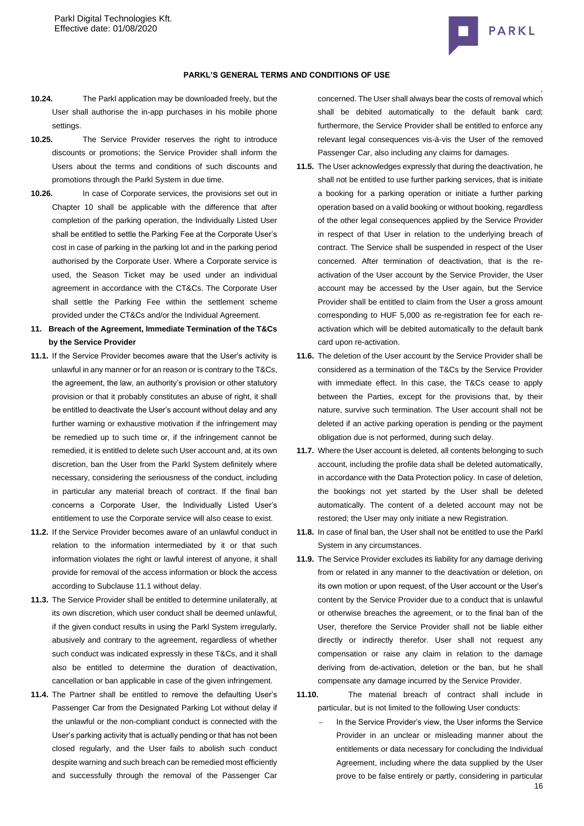

#### **PARKL'S GENERAL TERMS AND CONDITIONS OF USE**

- **10.24.** The Parkl application may be downloaded freely, but the User shall authorise the in-app purchases in his mobile phone settings.
- **10.25.** The Service Provider reserves the right to introduce discounts or promotions; the Service Provider shall inform the Users about the terms and conditions of such discounts and promotions through the Parkl System in due time.
- **10.26.** In case of Corporate services, the provisions set out in Chapter 10 shall be applicable with the difference that after completion of the parking operation, the Individually Listed User shall be entitled to settle the Parking Fee at the Corporate User's cost in case of parking in the parking lot and in the parking period authorised by the Corporate User. Where a Corporate service is used, the Season Ticket may be used under an individual agreement in accordance with the CT&Cs. The Corporate User shall settle the Parking Fee within the settlement scheme provided under the CT&Cs and/or the Individual Agreement.
- **11. Breach of the Agreement, Immediate Termination of the T&Cs by the Service Provider**
- **11.1.** If the Service Provider becomes aware that the User's activity is unlawful in any manner or for an reason or is contrary to the T&Cs, the agreement, the law, an authority's provision or other statutory provision or that it probably constitutes an abuse of right, it shall be entitled to deactivate the User's account without delay and any further warning or exhaustive motivation if the infringement may be remedied up to such time or, if the infringement cannot be remedied, it is entitled to delete such User account and, at its own discretion, ban the User from the Parkl System definitely where necessary, considering the seriousness of the conduct, including in particular any material breach of contract. If the final ban concerns a Corporate User, the Individually Listed User's entitlement to use the Corporate service will also cease to exist.
- **11.2.** If the Service Provider becomes aware of an unlawful conduct in relation to the information intermediated by it or that such information violates the right or lawful interest of anyone, it shall provide for removal of the access information or block the access according to Subclause 11.1 without delay.
- **11.3.** The Service Provider shall be entitled to determine unilaterally, at its own discretion, which user conduct shall be deemed unlawful, if the given conduct results in using the Parkl System irregularly, abusively and contrary to the agreement, regardless of whether such conduct was indicated expressly in these T&Cs, and it shall also be entitled to determine the duration of deactivation, cancellation or ban applicable in case of the given infringement.
- **11.4.** The Partner shall be entitled to remove the defaulting User's Passenger Car from the Designated Parking Lot without delay if the unlawful or the non-compliant conduct is connected with the User's parking activity that is actually pending or that has not been closed regularly, and the User fails to abolish such conduct despite warning and such breach can be remedied most efficiently and successfully through the removal of the Passenger Car

concerned. The User shall always bear the costs of removal which shall be debited automatically to the default bank card; furthermore, the Service Provider shall be entitled to enforce any relevant legal consequences vis-à-vis the User of the removed Passenger Car, also including any claims for damages.

- **11.5.** The User acknowledges expressly that during the deactivation, he shall not be entitled to use further parking services, that is initiate a booking for a parking operation or initiate a further parking operation based on a valid booking or without booking, regardless of the other legal consequences applied by the Service Provider in respect of that User in relation to the underlying breach of contract. The Service shall be suspended in respect of the User concerned. After termination of deactivation, that is the reactivation of the User account by the Service Provider, the User account may be accessed by the User again, but the Service Provider shall be entitled to claim from the User a gross amount corresponding to HUF 5,000 as re-registration fee for each reactivation which will be debited automatically to the default bank card upon re-activation.
- **11.6.** The deletion of the User account by the Service Provider shall be considered as a termination of the T&Cs by the Service Provider with immediate effect. In this case, the T&Cs cease to apply between the Parties, except for the provisions that, by their nature, survive such termination. The User account shall not be deleted if an active parking operation is pending or the payment obligation due is not performed, during such delay.
- **11.7.** Where the User account is deleted, all contents belonging to such account, including the profile data shall be deleted automatically, in accordance with the Data Protection policy. In case of deletion, the bookings not yet started by the User shall be deleted automatically. The content of a deleted account may not be restored; the User may only initiate a new Registration.
- **11.8.** In case of final ban, the User shall not be entitled to use the Parkl System in any circumstances.
- **11.9.** The Service Provider excludes its liability for any damage deriving from or related in any manner to the deactivation or deletion, on its own motion or upon request, of the User account or the User's content by the Service Provider due to a conduct that is unlawful or otherwise breaches the agreement, or to the final ban of the User, therefore the Service Provider shall not be liable either directly or indirectly therefor. User shall not request any compensation or raise any claim in relation to the damage deriving from de-activation, deletion or the ban, but he shall compensate any damage incurred by the Service Provider.
- **11.10.** The material breach of contract shall include in particular, but is not limited to the following User conducts:
	- 16 In the Service Provider's view, the User informs the Service Provider in an unclear or misleading manner about the entitlements or data necessary for concluding the Individual Agreement, including where the data supplied by the User prove to be false entirely or partly, considering in particular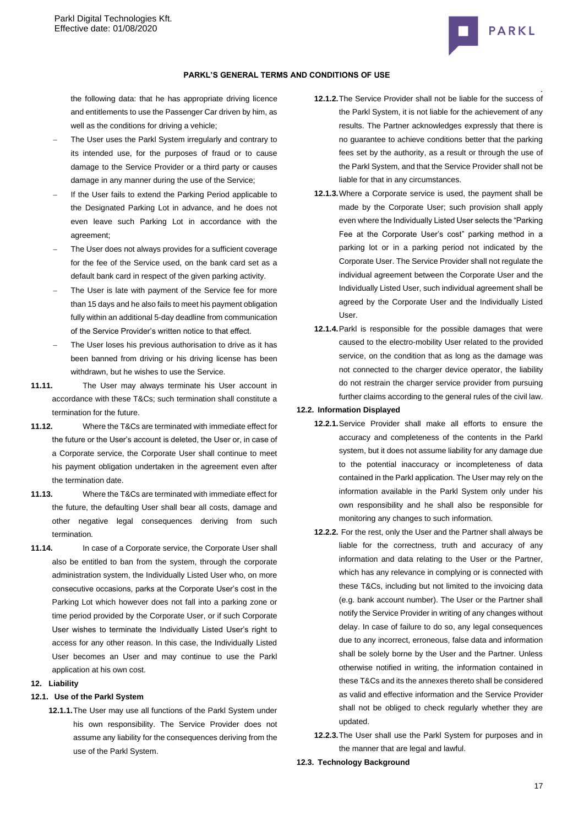

## **PARKL'S GENERAL TERMS AND CONDITIONS OF USE**

the following data: that he has appropriate driving licence and entitlements to use the Passenger Car driven by him, as well as the conditions for driving a vehicle;

- The User uses the Parkl System irregularly and contrary to its intended use, for the purposes of fraud or to cause damage to the Service Provider or a third party or causes damage in any manner during the use of the Service;
- If the User fails to extend the Parking Period applicable to the Designated Parking Lot in advance, and he does not even leave such Parking Lot in accordance with the agreement;
- The User does not always provides for a sufficient coverage for the fee of the Service used, on the bank card set as a default bank card in respect of the given parking activity.
- The User is late with payment of the Service fee for more than 15 days and he also fails to meet his payment obligation fully within an additional 5-day deadline from communication of the Service Provider's written notice to that effect.
- The User loses his previous authorisation to drive as it has been banned from driving or his driving license has been withdrawn, but he wishes to use the Service.
- **11.11.** The User may always terminate his User account in accordance with these T&Cs; such termination shall constitute a termination for the future.
- **11.12.** Where the T&Cs are terminated with immediate effect for the future or the User's account is deleted, the User or, in case of a Corporate service, the Corporate User shall continue to meet his payment obligation undertaken in the agreement even after the termination date.
- **11.13.** Where the T&Cs are terminated with immediate effect for the future, the defaulting User shall bear all costs, damage and other negative legal consequences deriving from such termination.
- **11.14.** In case of a Corporate service, the Corporate User shall also be entitled to ban from the system, through the corporate administration system, the Individually Listed User who, on more consecutive occasions, parks at the Corporate User's cost in the Parking Lot which however does not fall into a parking zone or time period provided by the Corporate User, or if such Corporate User wishes to terminate the Individually Listed User's right to access for any other reason. In this case, the Individually Listed User becomes an User and may continue to use the Parkl application at his own cost.

## **12. Liability**

## **12.1. Use of the Parkl System**

**12.1.1.**The User may use all functions of the Parkl System under his own responsibility. The Service Provider does not assume any liability for the consequences deriving from the use of the Parkl System.

- **12.1.2.**The Service Provider shall not be liable for the success of the Parkl System, it is not liable for the achievement of any results. The Partner acknowledges expressly that there is no guarantee to achieve conditions better that the parking fees set by the authority, as a result or through the use of the Parkl System, and that the Service Provider shall not be liable for that in any circumstances.
- **12.1.3.**Where a Corporate service is used, the payment shall be made by the Corporate User; such provision shall apply even where the Individually Listed User selects the "Parking Fee at the Corporate User's cost" parking method in a parking lot or in a parking period not indicated by the Corporate User. The Service Provider shall not regulate the individual agreement between the Corporate User and the Individually Listed User, such individual agreement shall be agreed by the Corporate User and the Individually Listed User.
- **12.1.4.**Parkl is responsible for the possible damages that were caused to the electro-mobility User related to the provided service, on the condition that as long as the damage was not connected to the charger device operator, the liability do not restrain the charger service provider from pursuing further claims according to the general rules of the civil law.

## **12.2. Information Displayed**

- **12.2.1.**Service Provider shall make all efforts to ensure the accuracy and completeness of the contents in the Parkl system, but it does not assume liability for any damage due to the potential inaccuracy or incompleteness of data contained in the Parkl application. The User may rely on the information available in the Parkl System only under his own responsibility and he shall also be responsible for monitoring any changes to such information.
- **12.2.2.** For the rest, only the User and the Partner shall always be liable for the correctness, truth and accuracy of any information and data relating to the User or the Partner, which has any relevance in complying or is connected with these T&Cs, including but not limited to the invoicing data (e.g. bank account number). The User or the Partner shall notify the Service Provider in writing of any changes without delay. In case of failure to do so, any legal consequences due to any incorrect, erroneous, false data and information shall be solely borne by the User and the Partner. Unless otherwise notified in writing, the information contained in these T&Cs and its the annexes thereto shall be considered as valid and effective information and the Service Provider shall not be obliged to check regularly whether they are updated.
- **12.2.3.**The User shall use the Parkl System for purposes and in the manner that are legal and lawful.

#### **12.3. Technology Background**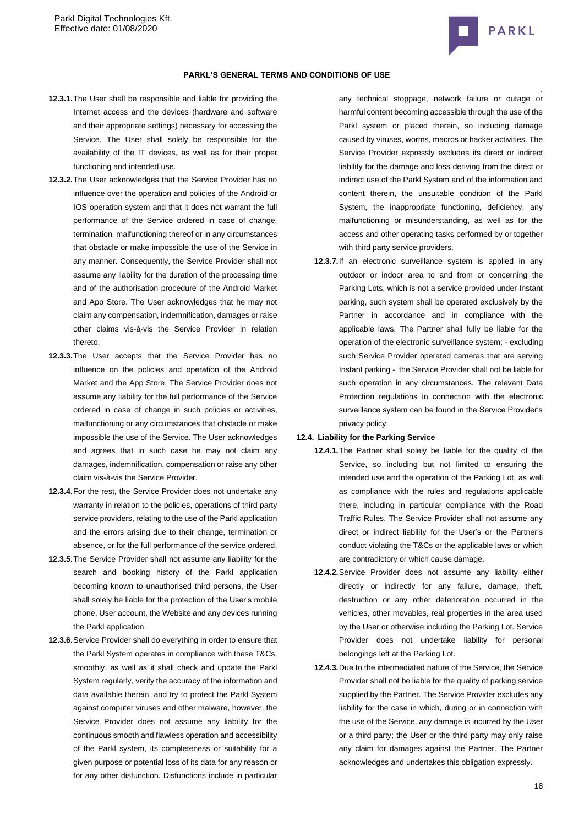

- **12.3.1.**The User shall be responsible and liable for providing the Internet access and the devices (hardware and software and their appropriate settings) necessary for accessing the Service. The User shall solely be responsible for the availability of the IT devices, as well as for their proper functioning and intended use.
- **12.3.2.**The User acknowledges that the Service Provider has no influence over the operation and policies of the Android or IOS operation system and that it does not warrant the full performance of the Service ordered in case of change, termination, malfunctioning thereof or in any circumstances that obstacle or make impossible the use of the Service in any manner. Consequently, the Service Provider shall not assume any liability for the duration of the processing time and of the authorisation procedure of the Android Market and App Store. The User acknowledges that he may not claim any compensation, indemnification, damages or raise other claims vis-à-vis the Service Provider in relation thereto.
- **12.3.3.**The User accepts that the Service Provider has no influence on the policies and operation of the Android Market and the App Store. The Service Provider does not assume any liability for the full performance of the Service ordered in case of change in such policies or activities, malfunctioning or any circumstances that obstacle or make impossible the use of the Service. The User acknowledges and agrees that in such case he may not claim any damages, indemnification, compensation or raise any other claim vis-à-vis the Service Provider.
- **12.3.4.**For the rest, the Service Provider does not undertake any warranty in relation to the policies, operations of third party service providers, relating to the use of the Parkl application and the errors arising due to their change, termination or absence, or for the full performance of the service ordered.
- **12.3.5.**The Service Provider shall not assume any liability for the search and booking history of the Parkl application becoming known to unauthorised third persons, the User shall solely be liable for the protection of the User's mobile phone, User account, the Website and any devices running the Parkl application.
- **12.3.6.**Service Provider shall do everything in order to ensure that the Parkl System operates in compliance with these T&Cs, smoothly, as well as it shall check and update the Parkl System regularly, verify the accuracy of the information and data available therein, and try to protect the Parkl System against computer viruses and other malware, however, the Service Provider does not assume any liability for the continuous smooth and flawless operation and accessibility of the Parkl system, its completeness or suitability for a given purpose or potential loss of its data for any reason or for any other disfunction. Disfunctions include in particular

. any technical stoppage, network failure or outage or harmful content becoming accessible through the use of the Parkl system or placed therein, so including damage caused by viruses, worms, macros or hacker activities. The Service Provider expressly excludes its direct or indirect liability for the damage and loss deriving from the direct or indirect use of the Parkl System and of the information and content therein, the unsuitable condition of the Parkl System, the inappropriate functioning, deficiency, any malfunctioning or misunderstanding, as well as for the access and other operating tasks performed by or together with third party service providers.

**12.3.7.**If an electronic surveillance system is applied in any outdoor or indoor area to and from or concerning the Parking Lots, which is not a service provided under Instant parking, such system shall be operated exclusively by the Partner in accordance and in compliance with the applicable laws. The Partner shall fully be liable for the operation of the electronic surveillance system; - excluding such Service Provider operated cameras that are serving Instant parking - the Service Provider shall not be liable for such operation in any circumstances. The relevant Data Protection regulations in connection with the electronic surveillance system can be found in the Service Provider's privacy policy.

#### **12.4. Liability for the Parking Service**

- **12.4.1.**The Partner shall solely be liable for the quality of the Service, so including but not limited to ensuring the intended use and the operation of the Parking Lot, as well as compliance with the rules and regulations applicable there, including in particular compliance with the Road Traffic Rules. The Service Provider shall not assume any direct or indirect liability for the User's or the Partner's conduct violating the T&Cs or the applicable laws or which are contradictory or which cause damage.
- **12.4.2.**Service Provider does not assume any liability either directly or indirectly for any failure, damage, theft, destruction or any other deterioration occurred in the vehicles, other movables, real properties in the area used by the User or otherwise including the Parking Lot. Service Provider does not undertake liability for personal belongings left at the Parking Lot.
- **12.4.3.**Due to the intermediated nature of the Service, the Service Provider shall not be liable for the quality of parking service supplied by the Partner. The Service Provider excludes any liability for the case in which, during or in connection with the use of the Service, any damage is incurred by the User or a third party; the User or the third party may only raise any claim for damages against the Partner. The Partner acknowledges and undertakes this obligation expressly.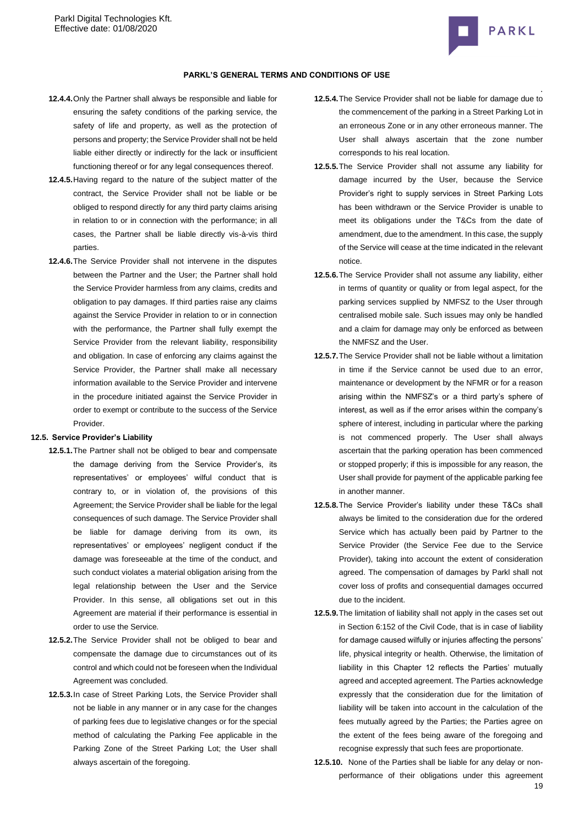

## **PARKL'S GENERAL TERMS AND CONDITIONS OF USE**

- **12.4.4.**Only the Partner shall always be responsible and liable for ensuring the safety conditions of the parking service, the safety of life and property, as well as the protection of persons and property; the Service Provider shall not be held liable either directly or indirectly for the lack or insufficient functioning thereof or for any legal consequences thereof.
- **12.4.5.**Having regard to the nature of the subject matter of the contract, the Service Provider shall not be liable or be obliged to respond directly for any third party claims arising in relation to or in connection with the performance; in all cases, the Partner shall be liable directly vis-à-vis third parties.
- **12.4.6.**The Service Provider shall not intervene in the disputes between the Partner and the User; the Partner shall hold the Service Provider harmless from any claims, credits and obligation to pay damages. If third parties raise any claims against the Service Provider in relation to or in connection with the performance, the Partner shall fully exempt the Service Provider from the relevant liability, responsibility and obligation. In case of enforcing any claims against the Service Provider, the Partner shall make all necessary information available to the Service Provider and intervene in the procedure initiated against the Service Provider in order to exempt or contribute to the success of the Service Provider.

#### **12.5. Service Provider's Liability**

- **12.5.1.**The Partner shall not be obliged to bear and compensate the damage deriving from the Service Provider's, its representatives' or employees' wilful conduct that is contrary to, or in violation of, the provisions of this Agreement; the Service Provider shall be liable for the legal consequences of such damage. The Service Provider shall be liable for damage deriving from its own, its representatives' or employees' negligent conduct if the damage was foreseeable at the time of the conduct, and such conduct violates a material obligation arising from the legal relationship between the User and the Service Provider. In this sense, all obligations set out in this Agreement are material if their performance is essential in order to use the Service.
- **12.5.2.**The Service Provider shall not be obliged to bear and compensate the damage due to circumstances out of its control and which could not be foreseen when the Individual Agreement was concluded.
- **12.5.3.**In case of Street Parking Lots, the Service Provider shall not be liable in any manner or in any case for the changes of parking fees due to legislative changes or for the special method of calculating the Parking Fee applicable in the Parking Zone of the Street Parking Lot; the User shall always ascertain of the foregoing.
- **12.5.4.**The Service Provider shall not be liable for damage due to the commencement of the parking in a Street Parking Lot in an erroneous Zone or in any other erroneous manner. The User shall always ascertain that the zone number corresponds to his real location.
- **12.5.5.**The Service Provider shall not assume any liability for damage incurred by the User, because the Service Provider's right to supply services in Street Parking Lots has been withdrawn or the Service Provider is unable to meet its obligations under the T&Cs from the date of amendment, due to the amendment. In this case, the supply of the Service will cease at the time indicated in the relevant notice.
- **12.5.6.**The Service Provider shall not assume any liability, either in terms of quantity or quality or from legal aspect, for the parking services supplied by NMFSZ to the User through centralised mobile sale. Such issues may only be handled and a claim for damage may only be enforced as between the NMFSZ and the User.
- **12.5.7.**The Service Provider shall not be liable without a limitation in time if the Service cannot be used due to an error, maintenance or development by the NFMR or for a reason arising within the NMFSZ's or a third party's sphere of interest, as well as if the error arises within the company's sphere of interest, including in particular where the parking is not commenced properly. The User shall always ascertain that the parking operation has been commenced or stopped properly; if this is impossible for any reason, the User shall provide for payment of the applicable parking fee in another manner.
- **12.5.8.**The Service Provider's liability under these T&Cs shall always be limited to the consideration due for the ordered Service which has actually been paid by Partner to the Service Provider (the Service Fee due to the Service Provider), taking into account the extent of consideration agreed. The compensation of damages by Parkl shall not cover loss of profits and consequential damages occurred due to the incident.
- **12.5.9.**The limitation of liability shall not apply in the cases set out in Section 6:152 of the Civil Code, that is in case of liability for damage caused wilfully or injuries affecting the persons' life, physical integrity or health. Otherwise, the limitation of liability in this Chapter 12 reflects the Parties' mutually agreed and accepted agreement. The Parties acknowledge expressly that the consideration due for the limitation of liability will be taken into account in the calculation of the fees mutually agreed by the Parties; the Parties agree on the extent of the fees being aware of the foregoing and recognise expressly that such fees are proportionate.
- 19 **12.5.10.** None of the Parties shall be liable for any delay or nonperformance of their obligations under this agreement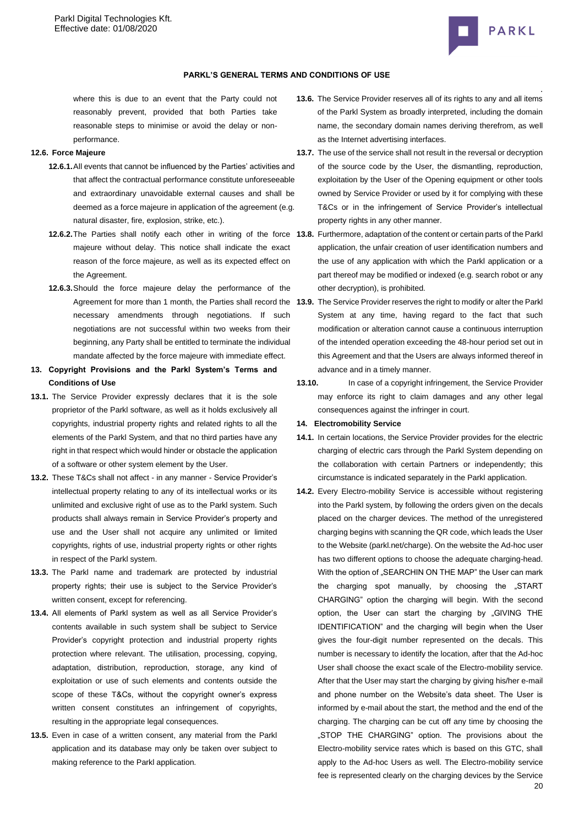

where this is due to an event that the Party could not reasonably prevent, provided that both Parties take reasonable steps to minimise or avoid the delay or nonperformance.

### **12.6. Force Majeure**

- **12.6.1.**All events that cannot be influenced by the Parties' activities and that affect the contractual performance constitute unforeseeable and extraordinary unavoidable external causes and shall be deemed as a force majeure in application of the agreement (e.g. natural disaster, fire, explosion, strike, etc.).
- majeure without delay. This notice shall indicate the exact reason of the force majeure, as well as its expected effect on the Agreement.
- **12.6.3.**Should the force majeure delay the performance of the necessary amendments through negotiations. If such negotiations are not successful within two weeks from their beginning, any Party shall be entitled to terminate the individual mandate affected by the force majeure with immediate effect.
- **13. Copyright Provisions and the Parkl System's Terms and Conditions of Use**
- **13.1.** The Service Provider expressly declares that it is the sole proprietor of the Parkl software, as well as it holds exclusively all copyrights, industrial property rights and related rights to all the elements of the Parkl System, and that no third parties have any right in that respect which would hinder or obstacle the application of a software or other system element by the User.
- **13.2.** These T&Cs shall not affect in any manner Service Provider's intellectual property relating to any of its intellectual works or its unlimited and exclusive right of use as to the Parkl system. Such products shall always remain in Service Provider's property and use and the User shall not acquire any unlimited or limited copyrights, rights of use, industrial property rights or other rights in respect of the Parkl system.
- **13.3.** The Parkl name and trademark are protected by industrial property rights; their use is subject to the Service Provider's written consent, except for referencing.
- **13.4.** All elements of Parkl system as well as all Service Provider's contents available in such system shall be subject to Service Provider's copyright protection and industrial property rights protection where relevant. The utilisation, processing, copying, adaptation, distribution, reproduction, storage, any kind of exploitation or use of such elements and contents outside the scope of these T&Cs, without the copyright owner's express written consent constitutes an infringement of copyrights, resulting in the appropriate legal consequences.
- **13.5.** Even in case of a written consent, any material from the Parkl application and its database may only be taken over subject to making reference to the Parkl application.
- . **13.6.** The Service Provider reserves all of its rights to any and all items of the Parkl System as broadly interpreted, including the domain name, the secondary domain names deriving therefrom, as well as the Internet advertising interfaces.
- **13.7.** The use of the service shall not result in the reversal or decryption of the source code by the User, the dismantling, reproduction, exploitation by the User of the Opening equipment or other tools owned by Service Provider or used by it for complying with these T&Cs or in the infringement of Service Provider's intellectual property rights in any other manner.
- **12.6.2.**The Parties shall notify each other in writing of the force **13.8.** Furthermore, adaptation of the content or certain parts of the Parkl application, the unfair creation of user identification numbers and the use of any application with which the Parkl application or a part thereof may be modified or indexed (e.g. search robot or any other decryption), is prohibited.
	- Agreement for more than 1 month, the Parties shall record the **13.9.** The Service Provider reserves the right to modify or alter the Parkl System at any time, having regard to the fact that such modification or alteration cannot cause a continuous interruption of the intended operation exceeding the 48-hour period set out in this Agreement and that the Users are always informed thereof in advance and in a timely manner.
		- **13.10.** In case of a copyright infringement, the Service Provider may enforce its right to claim damages and any other legal consequences against the infringer in court.

## **14. Electromobility Service**

- **14.1.** In certain locations, the Service Provider provides for the electric charging of electric cars through the Parkl System depending on the collaboration with certain Partners or independently; this circumstance is indicated separately in the Parkl application.
- **14.2.** Every Electro-mobility Service is accessible without registering into the Parkl system, by following the orders given on the decals placed on the charger devices. The method of the unregistered charging begins with scanning the QR code, which leads the User to the Website (parkl.net/charge). On the website the Ad-hoc user has two different options to choose the adequate charging-head. With the option of "SEARCHIN ON THE MAP" the User can mark the charging spot manually, by choosing the "START CHARGING" option the charging will begin. With the second option, the User can start the charging by "GIVING THE IDENTIFICATION" and the charging will begin when the User gives the four-digit number represented on the decals. This number is necessary to identify the location, after that the Ad-hoc User shall choose the exact scale of the Electro-mobility service. After that the User may start the charging by giving his/her e-mail and phone number on the Website's data sheet. The User is informed by e-mail about the start, the method and the end of the charging. The charging can be cut off any time by choosing the "STOP THE CHARGING" option. The provisions about the Electro-mobility service rates which is based on this GTC, shall apply to the Ad-hoc Users as well. The Electro-mobility service fee is represented clearly on the charging devices by the Service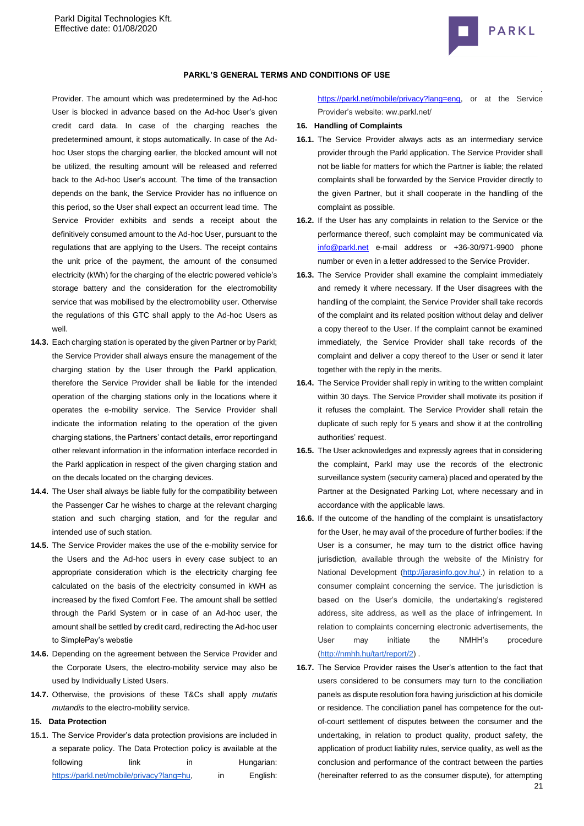

### **PARKL'S GENERAL TERMS AND CONDITIONS OF USE**

Provider. The amount which was predetermined by the Ad-hoc User is blocked in advance based on the Ad-hoc User's given credit card data. In case of the charging reaches the predetermined amount, it stops automatically. In case of the Adhoc User stops the charging earlier, the blocked amount will not be utilized, the resulting amount will be released and referred back to the Ad-hoc User's account. The time of the transaction depends on the bank, the Service Provider has no influence on this period, so the User shall expect an occurrent lead time. The Service Provider exhibits and sends a receipt about the definitively consumed amount to the Ad-hoc User, pursuant to the regulations that are applying to the Users. The receipt contains the unit price of the payment, the amount of the consumed electricity (kWh) for the charging of the electric powered vehicle's storage battery and the consideration for the electromobility service that was mobilised by the electromobility user. Otherwise the regulations of this GTC shall apply to the Ad-hoc Users as well.

- **14.3.** Each charging station is operated by the given Partner or by Parkl; the Service Provider shall always ensure the management of the charging station by the User through the Parkl application, therefore the Service Provider shall be liable for the intended operation of the charging stations only in the locations where it operates the e-mobility service. The Service Provider shall indicate the information relating to the operation of the given charging stations, the Partners' contact details, error reportingand other relevant information in the information interface recorded in the Parkl application in respect of the given charging station and on the decals located on the charging devices.
- **14.4.** The User shall always be liable fully for the compatibility between the Passenger Car he wishes to charge at the relevant charging station and such charging station, and for the regular and intended use of such station.
- **14.5.** The Service Provider makes the use of the e-mobility service for the Users and the Ad-hoc users in every case subject to an appropriate consideration which is the electricity charging fee calculated on the basis of the electricity consumed in kWH as increased by the fixed Comfort Fee. The amount shall be settled through the Parkl System or in case of an Ad-hoc user, the amount shall be settled by credit card, redirecting the Ad-hoc user to SimplePay's webstie
- **14.6.** Depending on the agreement between the Service Provider and the Corporate Users, the electro-mobility service may also be used by Individually Listed Users.
- **14.7.** Otherwise, the provisions of these T&Cs shall apply *mutatis mutandis* to the electro-mobility service.

#### **15. Data Protection**

**15.1.** The Service Provider's data protection provisions are included in a separate policy. The Data Protection policy is available at the following link in Hungarian: [https://parkl.net/mobile/privacy?lang=hu,](https://test.parkl.net/mobile/privacy?lang=eng) in English:

[https://parkl.net/mobile/privacy?lang=eng,](https://parkl.net/mobile/privacy?lang=eng) or at the Service Provider's website: ww.parkl.net/

#### **16. Handling of Complaints**

- **16.1.** The Service Provider always acts as an intermediary service provider through the Parkl application. The Service Provider shall not be liable for matters for which the Partner is liable; the related complaints shall be forwarded by the Service Provider directly to the given Partner, but it shall cooperate in the handling of the complaint as possible.
- **16.2.** If the User has any complaints in relation to the Service or the performance thereof, such complaint may be communicated via [info@parkl.net](mailto:info@parkl.net) e-mail address or +36-30/971-9900 phone number or even in a letter addressed to the Service Provider.
- **16.3.** The Service Provider shall examine the complaint immediately and remedy it where necessary. If the User disagrees with the handling of the complaint, the Service Provider shall take records of the complaint and its related position without delay and deliver a copy thereof to the User. If the complaint cannot be examined immediately, the Service Provider shall take records of the complaint and deliver a copy thereof to the User or send it later together with the reply in the merits.
- **16.4.** The Service Provider shall reply in writing to the written complaint within 30 days. The Service Provider shall motivate its position if it refuses the complaint. The Service Provider shall retain the duplicate of such reply for 5 years and show it at the controlling authorities' request.
- **16.5.** The User acknowledges and expressly agrees that in considering the complaint, Parkl may use the records of the electronic surveillance system (security camera) placed and operated by the Partner at the Designated Parking Lot, where necessary and in accordance with the applicable laws.
- **16.6.** If the outcome of the handling of the complaint is unsatisfactory for the User, he may avail of the procedure of further bodies: if the User is a consumer, he may turn to the district office having jurisdiction, available through the website of the Ministry for National Development [\(http://jarasinfo.gov.hu/.](http://jarasinfo.gov.hu/)) in relation to a consumer complaint concerning the service. The jurisdiction is based on the User's domicile, the undertaking's registered address, site address, as well as the place of infringement. In relation to complaints concerning electronic advertisements, the User may initiate the NMHH's procedure [\(http://nmhh.hu/tart/report/2\)](http://nmhh.hu/tart/report/2) .
- 21 **16.7.** The Service Provider raises the User's attention to the fact that users considered to be consumers may turn to the conciliation panels as dispute resolution fora having jurisdiction at his domicile or residence. The conciliation panel has competence for the outof-court settlement of disputes between the consumer and the undertaking, in relation to product quality, product safety, the application of product liability rules, service quality, as well as the conclusion and performance of the contract between the parties (hereinafter referred to as the consumer dispute), for attempting